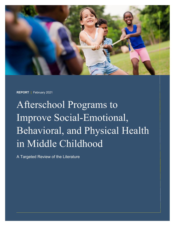

**REPORT** | February 2021

Afterschool Programs to Improve Social-Emotional, Behavioral, and Physical Health in Middle Childhood

A Targeted Review of the Literature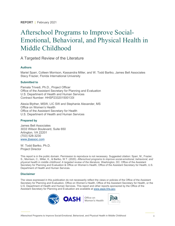**REPORT** | February 2021

# Afterschool Programs to Improve Social-Emotional, Behavioral, and Physical Health in Middle Childhood

A Targeted Review of the Literature

#### **Authors**

Mariel Sparr, Colleen Morrison, Kassandra Miller, and W. Todd Bartko, James Bell Associates Stacy Frazier, Florida International University

#### **Submitted to**

Pamala Trivedi, Ph.D., Project Officer Office of the Assistant Secretary for Planning and Evaluation U.S. Department of Health and Human Services Contract Number: HHSP233201500133I

Alexia Blyther, MSW, LIC SW and Stephanie Alexander, MS Office on Women's Health Office of the Assistant Secretary for Health U.S. Department of Health and Human Services

#### **Prepared by**

James Bell Associates 3033 Wilson Boulevard, Suite 650 Arlington, VA 22201 (703) 528-3230 [www.jbassoc.com](http://www.jbassoc.com/)

W. Todd Bartko, Ph.D. Project Director

This report is in the public domain. Permission to reproduce is not necessary. Suggested citation: Sparr, M., Frazier, S., Morrison, C., Miller, K., & Bartko, W.T. (2020). *Afterschool programs to improve social-emotional, behavioral, and physical health in middle childhood: A targeted review of the literature*. Washington, DC: Office of the Assistant Secretary for Planning and Evaluation & Office on Women's Health, Office of the Assistant Secretary for Health, U.S. Department of Health and Human Services.

#### **Disclaimer**

The views expressed in this publication do not necessarily reflect the views or policies of the Office of the Assistant Secretary for Planning and Evaluation, Office on Women's Health, Office of the Assistant Secretary for Health, or the U.S. Department of Health and Human Services. This report and other reports sponsored by the Office of the Assistant Secretary for Planning and Evaluation are available at [www.aspe.hhs.gov.](http://www.aspe.hhs.gov/)

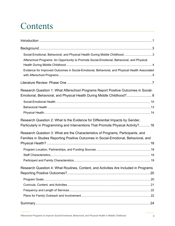# **Contents**

| Social-Emotional, Behavioral, and Physical Health During Middle Childhood  3                                                                                      |  |
|-------------------------------------------------------------------------------------------------------------------------------------------------------------------|--|
| Afterschool Programs: An Opportunity to Promote Social-Emotional, Behavioral, and Physical                                                                        |  |
| Evidence for Improved Outcomes in Social-Emotional, Behavioral, and Physical Health Associated                                                                    |  |
|                                                                                                                                                                   |  |
| Research Question 1: What Afterschool Programs Report Positive Outcomes in Social-                                                                                |  |
| Emotional, Behavioral, and Physical Health During Middle Childhood? 8                                                                                             |  |
|                                                                                                                                                                   |  |
|                                                                                                                                                                   |  |
|                                                                                                                                                                   |  |
| Research Question 2: What Is the Evidence for Differential Impacts by Gender,<br>Particularly in Programming and Interventions That Promote Physical Activity? 16 |  |
| Research Question 3: What are the Characteristics of Programs, Participants, and                                                                                  |  |
| Families in Studies Reporting Positive Outcomes in Social-Emotional, Behavioral, and                                                                              |  |
|                                                                                                                                                                   |  |
|                                                                                                                                                                   |  |
|                                                                                                                                                                   |  |
|                                                                                                                                                                   |  |
| Research Question 4: What Routines, Content, and Activities Are Included in Programs                                                                              |  |
|                                                                                                                                                                   |  |
|                                                                                                                                                                   |  |
|                                                                                                                                                                   |  |
|                                                                                                                                                                   |  |
|                                                                                                                                                                   |  |
|                                                                                                                                                                   |  |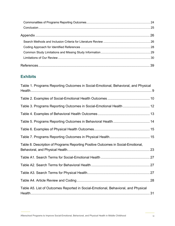### **Exhibits**

| Table 1. Programs Reporting Outcomes in Social-Emotional, Behavioral, and Physical |  |
|------------------------------------------------------------------------------------|--|
|                                                                                    |  |
| Table 3. Programs Reporting Outcomes in Social-Emotional Health  12                |  |
|                                                                                    |  |
|                                                                                    |  |
|                                                                                    |  |
|                                                                                    |  |
| Table 8. Description of Programs Reporting Positive Outcomes in Social-Emotional,  |  |
|                                                                                    |  |
|                                                                                    |  |
|                                                                                    |  |
|                                                                                    |  |
| Table A5. List of Outcomes Reported in Social-Emotional, Behavioral, and Physical  |  |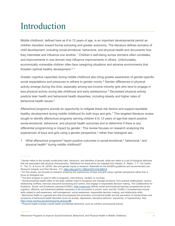# <span id="page-4-0"></span>Introduction

Middle childhood, defined here as 6 to 12 years of age, is an important developmental period as children transition toward formal schooling and greater autonomy. The literature defines domains of child development, including social-emotional, behavioral, and physical health and documents how they interrelate and influence one another.<sup>[1](#page-42-1)</sup> Children's well-being across domains often correlates, and improvements in one domain may influence improvements in others. Unfortunately, economically vulnerable children often face caregiving situations and adverse environments that threaten optimal healthy development. $^{\rm 2}$  $^{\rm 2}$  $^{\rm 2}$   $^{\rm 3}$  $^{\rm 3}$  $^{\rm 3}$ 

Greater cognitive capacities during middle childhood also bring greater awareness of gender-specific social expectations and pressures to adhere to gender norms.<sup>[4](#page-42-4)</sup> Gender differences in physical activity emerge during this time, especially among low-income minority girls who tend to engage in less physical activity during late childhood and early adolescence.<sup>[5](#page-42-5)</sup> Decreased physical activity predicts later health and behavioral health disparities, including obesity and higher rates of behavioral health issues. [6](#page-42-6)

Afterschool programs provide an opportunity to mitigate these risk factors and support equitable healthy development during middle childhood for both boys and girls.<sup>[7](#page-42-7)</sup> This targeted literature review sought to identify afterschool programs serving children 6 to 12 years of age that report positive social-emotional, behavioral, and physical health outcomes and to determine if there is any d[i](#page-4-1)fferential programming or impact by gender.<sup>i</sup> This review focuses on research analyzing the experiences of boys and girls using a gender perspective,<sup>[ii](#page-4-2)</sup> rather than biological sex.

1. What afterschool programs<sup>[iii](#page-4-3)</sup> report posit[iv](#page-4-4)e outcomes in social-emotional,<sup>i[v](#page-4-5)</sup> behavioral,<sup>v</sup> and physical health<sup>[vi](#page-4-6)</sup> during middle childhood?

<span id="page-4-1"></span>i Gender refers to the socially constructed roles, behaviors, and identities of people, while sex refers to a set of biological attributes that are associated with physical characteristics. Definitions for these terms are adapted from Heidari, S., Babor, T. F., De Castro, P., Tort, S., & Curno, M. (2016). Sex and gender equity in research: Rationale for the SAGER guidelines and recommended use.

<span id="page-4-2"></span>Research Integrity and Peer Review, 1(1), https://doi.org/10.1186/s41073-016-0007-6<br><sup>ii</sup> For this review, we focused on research analyzing the experiences of boys and girls using a gender perspective rather than a focus on biological sex

If The term program is used to refer to programs, interventions, models, or curricula.

<span id="page-4-4"></span><span id="page-4-3"></span>iv Social-emotional health refers to the skills children need to recognize and manage emotions, form positive relationships, resolve relationship conflicts, exercise executive functioning and control, and engage in responsible decision making. The Collaborative for Academic, Social, and Emotional Learning (CASEL) [\(http://casel.org\)](http://casel.org/) defines social and emotional learning competencies as the cognitive, affective, and behavioral abilities necessary to be successful in school, work, and life. CASEL's competencies include skills related to self-awareness, self-management, social awareness, responsible decision making, and relationship skills.

<span id="page-4-5"></span>v Behavioral health is a general term that encompasses the promotion of emotional health and the prevention of mental illness and symptoms of behavioral health disorders (such as anxiety, depression, disruptive behavior, impulsivity, or hyperactivity). See <https://www.samhsa.gov/grants/grants-glossary#B>

<span id="page-4-6"></span>vi Physical health includes overall health and lifestyle behaviors, such as nutrition and physical activity.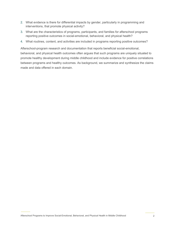- 2. What evidence is there for differential impacts by gender, particularly in programming and interventions, that promote physical activity?
- 3. What are the characteristics of programs, participants, and families for afterschool programs reporting positive outcomes in social-emotional, behavioral, and physical health?
- 4. What routines, content, and activities are included in programs reporting positive outcomes?

Afterschool-program research and documentation that reports beneficial social-emotional, behavioral, and physical health outcomes often argues that such programs are uniquely situated to promote healthy development during middle childhood and include evidence for positive correlations between programs and healthy outcomes. As background, we summarize and synthesize the claims made and data offered in each domain.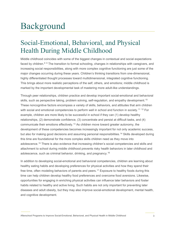# <span id="page-6-0"></span>Background

# <span id="page-6-1"></span>Social-Emotional, Behavioral, and Physical Health During Middle Childhood

Middle childhood coincides with some of the biggest changes in contextual and social expectations faced by children.<sup>[8](#page-42-8) [9](#page-42-9)</sup> The transition to formal schooling, changes in relationships with caregivers, and increasing social responsibilities, along with more complex cognitive functioning are just some of the major changes occurring during these years. Children's thinking transitions from one-dimensional, highly differentiated thought processes toward multidimensional, integrated cognitive functioning. This brings about more realistic perceptions of the self, others, and emotions; middle childhood is marked by the important developmental task of mastering more adult-like understandings.

Through peer relationships, children practice and develop important social-emotional and behavioral skills, such as perspective taking, problem solving, self-regulation, and empathy development. $^{\rm 10}$  $^{\rm 10}$  $^{\rm 10}$ These noncognitive factors encompass a variety of skills, behaviors, and attitudes that arm children with social and emotional competencies to perform well in school and function in society. [11](#page-42-11) [12](#page-42-12) For example, children are more likely to be successful in school if they can (1) develop healthy relationships, (2) demonstrate confidence, (3) concentrate and persist at difficult tasks, and (4) communicate their emotions effectively. [13](#page-42-13) As children move toward greater autonomy, the development of these competencies becomes increasingly important for not only academic success, but also for making good decisions and assuming personal responsibilities. [14](#page-42-14) Skills developed during this time are foundational for the more complex skills children need as they move into adolescence. [15](#page-42-15) There is also evidence that increasing children's social competencies and skills and attachment to school during middle childhood prevents risky health behaviors in later childhood and adolescence, such as criminal behavior, drinking, and pregnancy. [16](#page-42-16)

In addition to developing social-emotional and behavioral competencies, children are learning about healthy eating habits and developing preferences for physical activities and how they spend their free time, often modeling behaviors of parents and peers. [17](#page-43-0) Exposure to healthy foods during this time can help children develop healthy food preferences and overcome food aversions. Likewise, opportunities for engaging in enriching physical activities can influence later behaviors and foster habits related to healthy and active living. Such habits are not only important for preventing later diseases and adult obesity, but they may also improve social-emotional development, mental health, and cognitive development.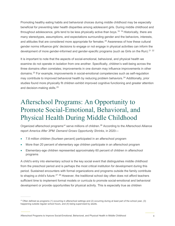Promoting healthy eating habits and behavioral choices during middle childhood may be especially beneficial for preventing later health disparities among adolescent girls. During middle childhood and throughout adolescence, girls tend to be less physically active than boys. [18](#page-43-1) [19](#page-43-2) Historically, there are many stereotypes, assumptions, and expectations surrounding gender and the behaviors, interests, and attitudes that are considered more appropriate for females. [20](#page-43-3) Awareness of how these cultural gender norms influence girls' decisions to engage or not engage in physical activities can inform the development of more gender-informed and gender-specific programs (such as Girls on the Run).<sup>[21](#page-43-4)</sup><sup>22</sup>

It is important to note that the aspects of social-emotional, behavioral, and physical health we examine do not operate in isolation from one another. Specifically, children's well-being across the three domains often correlates; improvements in one domain may influence improvements in other domains.[23](#page-43-6) For example, improvements in social-emotional competencies such as self-regulation may contribute to improved behavioral health by reducing problem behaviors. [24](#page-43-7) Additionally, prior studies found more physically fit children exhibit improved cognitive functioning and greater attention and decision-making skills. [25](#page-43-8)

# <span id="page-7-0"></span>Afterschool Programs: An Opportunity to Promote Social-Emotional, Behavioral, and Physical Health During Middle Childhood

Organized afterschool programs<sup>[vii](#page-7-1)</sup> serve millions of children.<sup>[26](#page-43-9)</sup> According to the Afterschool Alliance report *America After 3PM: Demand Grows Opportunity Shrinks*, in 2020—

- 7.8 million children (fourteen percent) participated in an afterschool program
- More than 20 percent of elementary age children participate in an afterschool program
- Elementary-age children represented approximately 60 percent of children in afterschool programs

A child's entry into elementary school is the key social event that distinguishes middle childhood from the preschool period and is perhaps the most critical institution for development during this period. Sustained encounters with formal organizations and programs outside the family contribute to shaping a child's future.<sup>[27](#page-43-10), [28](#page-43-11)</sup> However, the traditional school day often does not afford teachers sufficient time to implement formal models or curricula to promote social-emotional and behavioral development or provide opportunities for physical activity. This is especially true as children

<span id="page-7-1"></span>vii Often defined as programs (1) occurring in afterschool settings and (2) occurring during at least part of the school year, (3) happening outside regular school hours, and (4) being supervised by adults.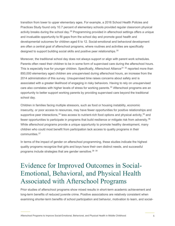transition from lower to upper elementary ages. For example, a 2016 School Health Policies and Practices Study found only 10.7 percent of elementary schools provided regular classroom physical activity breaks during the school day.[29](#page-43-12) Programming provided in afterschool settings offers a unique and invaluable opportunity to fill gaps from the school day and promote good health and developmental outcomes for children aged 6 to 12. Social-emotional and behavioral development are often a central goal of afterschool programs, where routines and activities are specifically designed to support building social skills and positive peer relationships.<sup>30</sup>

Moreover, the traditional school day does not always support or align with parent work schedules. Parents often need their children to be in some form of supervised care during the afterschool hours. This is especially true for younger children. Specifically, Afterschool Alliance<sup>[31](#page-43-14) [32](#page-43-15)</sup> reported more than 850,000 elementary aged children are unsupervised during afterschool hours, an increase from the 2014 administration of this survey. Unsupervised time raises concerns about safety and is associated with a greater likelihood of engaging in risky behaviors. Having to rely on unsupervised care also correlates with higher levels of stress for working parents. [33](#page-43-16) Afterschool programs are an opportunity to better support working parents by providing supervised care beyond the traditional school day.

Children in families facing multiple stressors, such as food or housing instability, economic insecurity, or poor access to resources, may have fewer opportunities for positive relationships and supportive peer interactions,<sup>[34](#page-43-17)</sup> less access to nutrient-rich food options and physical activity,<sup>[35](#page-44-0)</sup> and fewer opportunities to participate in programs that build resilience or mitigate risk from adversity. $^{36}$  $^{36}$  $^{36}$ While afterschool programs provide a unique opportunity to promote healthy development, many children who could most benefit from participation lack access to quality programs in their communities. [37](#page-44-2)

In terms of the impact of gender on afterschool programming, these studies indicate the highest quality programs recognize that girls and boys have their own distinct needs, and successful programs include strategies that are gender sensitive.[38](#page-44-3) [39](#page-44-4)

# <span id="page-8-0"></span>Evidence for Improved Outcomes in Social-Emotional, Behavioral, and Physical Health Associated with Afterschool Programs

Prior studies of afterschool programs show mixed results in short-term academic achievement and long-term benefits of reduced juvenile crime. Positive associations are relatively consistent when examining shorter-term benefits of school participation and behavior, motivation to learn, and social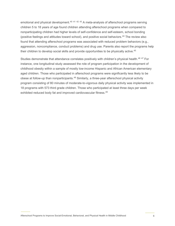emotional and physical development.<sup>[40](#page-44-5) [41](#page-44-6) [42](#page-44-7) [43](#page-44-8)</sup> A meta-analysis of afterschool programs serving children 5 to 18 years of age found children attending afterschool programs when compared to nonparticipating children had higher levels of self-confidence and self-esteem, school bonding (positive feelings and attitudes toward school), and positive social behaviors.<sup>[44](#page-44-9)</sup> The review also found that attending afterschool programs was associated with reduced problem behaviors (e.g., aggression, noncompliance, conduct problems) and drug use. Parents also report the programs help their children to develop social skills and provide opportunities to be physically active.<sup>[45](#page-44-10)</sup>

Studies demonstrate that attendance correlates positively with children's physical health.<sup>[46](#page-44-11) [47](#page-44-12)</sup> For instance, one longitudinal study assessed the role of program participation in the development of childhood obesity within a sample of mostly low-income Hispanic and African American elementary aged children. Those who participated in afterschool programs were significantly less likely to be obese at follow-up than nonparticipants.<sup>[48](#page-44-13)</sup> Similarly, a three-year afterschool physical activity program consisting of 80 minutes of moderate-to-vigorous daily physical activity was implemented in 18 programs with 573 third grade children. Those who participated at least three days per week exhibited reduced body fat and improved cardiovascular fitness.<sup>[49](#page-44-14)</sup>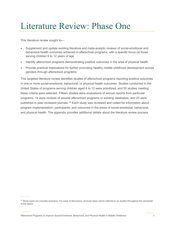# <span id="page-10-0"></span>Literature Review: Phase One

This literature review sought to—

- Supplement and update existing literature and meta-analytic reviews of social-emotional and behavioral health outcomes achieved in afterschool programs, with a specific focus on those serving children 6 to 12 years of age
- Identify afterschool programs demonstrating positive outcomes in the area of physical health
- Provide practical implications for further promoting healthy middle childhood development across genders through afterschool programs

This targeted literature review identifies studies of afterschool programs reporting positive outcomes in one or more social-emotional, behavioral, or physical health outcomes. Studies conducted in the United States of programs serving children aged 6 to 12 were prioritized, and 52 studies meeting these criteria were selected. Fifteen studies were evaluations of annual reports from particular programs, 14 were reviews of several afterschool programs or existing databases, and 23 were published in peer-reviewed journals.<sup>[viii](#page-10-1)</sup> Each study was reviewed and coded for information about program implementation; participants; and outcomes in the areas of social-emotional, behavioral, and physical health. The appendix provides additional details about the literature review process.

<span id="page-10-1"></span>viii Study types are mutually exclusive. For ease of discussion, all study types will be referred to as studies throughout the remainder of the report.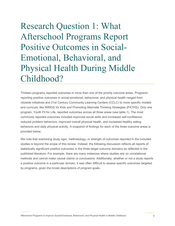# <span id="page-11-0"></span>Research Question 1: What Afterschool Programs Report Positive Outcomes in Social-Emotional, Behavioral, and Physical Health During Middle Childhood?

Thirteen programs reported outcomes in more than one of the priority outcome areas. Programs reporting positive outcomes in social-emotional, behavioral, and physical health ranged from citywide initiatives and 21st Century Community Learning Centers (CCLC) to more specific models and curricula, like WINGS for Kids and Promoting Alternate Thinking Strategies (PATHS). Only one program, Youth Fit for Life, reported outcomes across all three areas (see table 1). The most commonly reported outcomes included improved social skills and increased self-confidence, reduced problem behaviors, improved overall physical health, and increased healthy eating behaviors and daily physical activity. A snapshot of findings for each of the three outcome areas is provided below.

We note that examining study rigor, methodology, or strength of outcomes reported in the included studies is beyond the scope of this review. Instead, the following discussion reflects all reports of statistically significant positive outcomes in the three target outcome domains as reflected in the published literature. For example, there are many instances where studies rely on correlational methods and cannot make causal claims or conclusions. Additionally, whether or not a study reports a positive outcome in a particular domain, it was often difficult to assess specific outcomes targeted by programs, given the broad descriptions of program goals.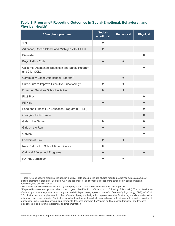#### <span id="page-12-0"></span>**Table 1. Programs[ix](#page-12-1) Reporting Outcomes in Social-Emotional, Behavioral, and Physical Health[x](#page-12-2)**

| <b>Afterschool program</b>                                           | Social-<br>emotional | <b>Behavioral</b> | <b>Physical</b> |
|----------------------------------------------------------------------|----------------------|-------------------|-----------------|
| $4-H$                                                                |                      |                   |                 |
| Arkansas, Rhode Island, and Michigan 21st CCLC                       |                      |                   |                 |
| <b>Bienestar</b>                                                     |                      |                   |                 |
| Boys & Girls Club                                                    |                      |                   |                 |
| California Afterschool Education and Safety Program<br>and 21st CCLC |                      |                   |                 |
| Community Based Afterschool Program <sup>xi</sup>                    |                      |                   |                 |
| Curriculum to Improve Executive Functioning <sup>xii</sup>           |                      |                   |                 |
| <b>Extended Services School Initiative</b>                           |                      |                   |                 |
| Fit-2-Play                                                           |                      |                   |                 |
| <b>FITKids</b>                                                       |                      |                   |                 |
| Food and Fitness Fun Education Program (FFFEP)                       |                      |                   |                 |
| Georgia's FitKid Project                                             |                      |                   |                 |
| Girls in the Game                                                    |                      |                   |                 |
| Girls on the Run                                                     |                      |                   |                 |
| GoKids                                                               |                      |                   |                 |
| Leaders at Play                                                      |                      |                   |                 |
| New York Out of School Time Initiative                               |                      |                   |                 |
| Oakland Afterschool Programs                                         |                      |                   |                 |
| <b>PATHS Curriculum</b>                                              |                      |                   |                 |

Afterschool Programs to Improve Social-Emotional, Behavioral, and Physical Health in Middle Childhood 9

<span id="page-12-1"></span><sup>&</sup>lt;sup>ix</sup> Table includes specific programs included in a study. Table does not include studies reporting outcomes across a sample of multiple afterschool programs. See table A5 in the appendix for additional studies reporting outcomes in social-emotional, behavioral, and physical health.

<span id="page-12-2"></span>x For a list of specific outcomes reported by each program and references, see table A5 in the appendix.

<span id="page-12-4"></span><span id="page-12-3"></span><sup>&</sup>lt;sup>xi</sup> Reported by a community-based afterschool program. See Fite, P. J., Vitulano, M. L., & Preddy, T. M. (2011). The positive impact of attending a community-based youth program on child depressive symptoms. Journal of Co xii Brock et al. reported implementation of an afterschool program designed to improve executive functioning and visuospatial skills to improve classroom behavior. Curriculum was developed using the collective expertise of professionals with varied knowledge of foundational skills, including occupational therapists, teachers trained in the Waldorf and Montessori traditions, and teachers experienced in curriculum development and implementation.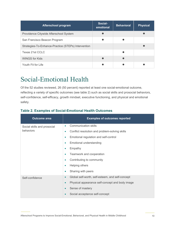| <b>Afterschool program</b>                          | Social-<br>emotional | <b>Behavioral</b> | <b>Physical</b> |
|-----------------------------------------------------|----------------------|-------------------|-----------------|
| Providence Citywide Afterschool System              |                      |                   |                 |
| San Francisco Beacon Program                        |                      |                   |                 |
| Strategies-To-Enhance-Practice (STEPs) Intervention |                      |                   |                 |
| Texas 21st CCLC                                     |                      |                   |                 |
| <b>WINGS for Kids</b>                               |                      |                   |                 |
| Youth Fit for Life                                  |                      |                   |                 |

# <span id="page-13-0"></span>Social-Emotional Health

Of the 52 studies reviewed, 26 (50 percent) reported at least one social-emotional outcome, reflecting a variety of specific outcomes (see table 2) such as social skills and prosocial behaviors, self-confidence, self-efficacy, growth mindset, executive functioning, and physical and emotional safety.

| <b>Outcome area</b>         | <b>Examples of outcomes reported</b>                          |
|-----------------------------|---------------------------------------------------------------|
| Social skills and prosocial | <b>Communication skills</b><br>$\bullet$                      |
| behaviors                   | Conflict resolution and problem-solving skills<br>$\bullet$   |
|                             | Emotional regulation and self-control<br>٠                    |
|                             | Emotional understanding<br>٠                                  |
|                             | Empathy                                                       |
|                             | Teamwork and cooperation                                      |
|                             | Contributing to community                                     |
|                             | Helping others                                                |
|                             | Sharing with peers<br>$\bullet$                               |
| Self-confidence             | Global self-worth, self-esteem, and self-concept<br>$\bullet$ |
|                             | Physical appearance self-concept and body image<br>$\bullet$  |
|                             | Sense of mastery<br>$\bullet$                                 |
|                             | Social acceptance self-concept<br>$\bullet$                   |

#### <span id="page-13-1"></span>**Table 2. Examples of Social-Emotional Health Outcomes**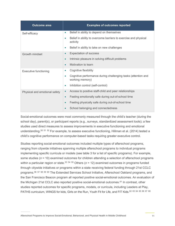| <b>Outcome area</b>           | <b>Examples of outcomes reported</b>                                                     |
|-------------------------------|------------------------------------------------------------------------------------------|
| Self-efficacy                 | Belief in ability to depend on themselves<br>$\bullet$                                   |
|                               | Belief in ability to overcome barriers to exercise and physical<br>$\bullet$<br>activity |
|                               | Belief in ability to take on new challenges<br>۰                                         |
| Growth mindset                | <b>Expectation of success</b><br>$\bullet$                                               |
|                               | Intrinsic pleasure in solving difficult problems                                         |
|                               | Motivation to learn                                                                      |
| <b>Executive functioning</b>  | Cognitive flexibility<br>۰                                                               |
|                               | Cognitive performance during challenging tasks (attention and<br>working memory)         |
|                               | Inhibition control (self-control)<br>۰                                                   |
| Physical and emotional safety | Access to positive staff-child and peer relationships<br>$\bullet$                       |
|                               | Feeling emotionally safe during out-of-school time<br>$\bullet$                          |
|                               | Feeling physically safe during out-of-school time<br>$\bullet$                           |
|                               | School belonging and connectedness                                                       |

Social-emotional outcomes were most commonly measured through the child's teacher (during the school day), parent(s), or participant reports (e.g., surveys, standardized assessment tools); a few studies used direct measures to assess improvements in executive functioning and emotional understanding.<sup>[50](#page-44-15)\_[51](#page-44-16)\_[52](#page-44-17)</sup> For example, to assess executive functioning, Hillman et al. (2014) tested a child's cognitive performance on computer-based tasks requiring greater executive control.

Studies reporting social-emotional outcomes included multiple types of afterschool programs, ranging from citywide initiatives spanning multiple afterschool programs to individual programs implementing specific curricula or models (see table 3 for a list of specific programs). For example, some studies (*n* = 10) examined outcomes for children attending a selection of afterschool programs within a particular region or state.<sup>[53](#page-44-18) [54](#page-44-19) [55](#page-45-0)</sup> Others ( $n = 12$ ) examined outcomes in programs funded through citywide initiatives or programs within a state receiving federal funding through 21st CCLC programs.<sup>[56](#page-45-1) [57](#page-45-2) [58](#page-45-3) [59](#page-45-4) [60](#page-45-5)</sup> The Extended Services School Initiative, Afterschool Oakland programs, and the San Francisco Beacon program all reported positive social-emotional outcomes. An evaluation of the Michigan 21st CCLC also reported positive social-emotional outcomes. [61](#page-45-6) In contrast, other studies reported outcomes for specific programs, models, or curricula, including Leaders at Play, PATHS curriculum, WINGS for kids, Girls on the Run, Youth Fit for Life, and FIT Kids. [62](#page-45-7) [63](#page-45-8) [64](#page-45-9) [65](#page-45-10) [66](#page-45-11) [67](#page-45-12) [68](#page-45-13)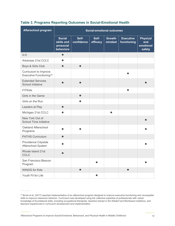| <b>Afterschool program</b>                                     | <b>Social-emotional outcomes</b>                      |                     |                   |                          |                                 |                                               |
|----------------------------------------------------------------|-------------------------------------------------------|---------------------|-------------------|--------------------------|---------------------------------|-----------------------------------------------|
|                                                                | <b>Social</b><br>skills and<br>prosocial<br>behaviors | Self-<br>confidence | Self-<br>efficacy | <b>Growth</b><br>mindset | <b>Executive</b><br>functioning | <b>Physical</b><br>and<br>emotional<br>safety |
| $4-H$                                                          | $\bullet$                                             |                     |                   |                          |                                 |                                               |
| Arkansas 21st CCLC                                             |                                                       |                     |                   |                          |                                 |                                               |
| Boys & Girls Club                                              |                                                       | $\bullet$           |                   |                          |                                 |                                               |
| Curriculum to Improve<br>Executive Functioning <sup>xiii</sup> |                                                       |                     |                   |                          |                                 |                                               |
| <b>Extended Services</b><br>School Initiative                  |                                                       |                     |                   |                          |                                 |                                               |
| <b>FITKids</b>                                                 |                                                       |                     |                   |                          | ●                               |                                               |
| Girls in the Game                                              |                                                       | $\bullet$           |                   |                          |                                 |                                               |
| Girls on the Run                                               |                                                       | ●                   |                   |                          |                                 |                                               |
| Leaders at Play                                                |                                                       |                     |                   |                          |                                 |                                               |
| Michigan 21st CCLC                                             |                                                       |                     |                   |                          |                                 |                                               |
| New York Out of<br>School Time Initiative                      |                                                       |                     |                   |                          |                                 |                                               |
| Oakland Afterschool<br>Programs                                |                                                       |                     |                   |                          |                                 |                                               |
| <b>PATHS Curriculum</b>                                        |                                                       |                     |                   |                          |                                 |                                               |
| Providence Citywide<br>Afterschool System                      |                                                       |                     |                   |                          |                                 |                                               |
| Rhode Island 21st<br><b>CCLC</b>                               |                                                       |                     |                   |                          |                                 |                                               |
| San Francisco Beacon<br>Program                                |                                                       |                     |                   |                          |                                 |                                               |
| <b>WINGS for Kids</b>                                          |                                                       | $\bullet$           |                   |                          | ●                               |                                               |
| Youth Fit for Life                                             |                                                       |                     | $\bullet$         |                          |                                 |                                               |

#### <span id="page-15-0"></span>**Table 3. Programs Reporting Outcomes in Social-Emotional Health**

<span id="page-15-1"></span>xiii Brock et al. (2017) reported implementation of an afterschool program designed to improve executive functioning and visuospatial skills to improve classroom behavior. Curriculum was developed using the collective expertise of professionals with varied knowledge of foundational skills, including occupational therapists, teachers trained in the Waldorf and Montessori traditions, and teachers experienced in curriculum development and implementation.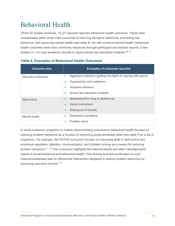# <span id="page-16-0"></span>Behavioral Health

Of the 52 studies reviewed, 14 (27 percent) reported behavioral health outcomes. These were concentrated within three main outcomes of reducing disruptive behaviors, preventing risk behaviors, and improving mental health (see table 4). As with social-emotional health, behavioral health outcomes were most commonly measured through participant and teacher reports. A few studies (*n* = 2) used academic records to report school-day discipline incidents. [69](#page-45-14) [70](#page-46-0)

| <b>Outcome area</b>  | <b>Examples of outcomes reported</b>                                         |
|----------------------|------------------------------------------------------------------------------|
| Disruptive behaviors | Aggressive behavior (getting into fights or arguing with peers)<br>$\bullet$ |
|                      | Hyperactivity and inattention                                                |
|                      | Impulsive behavior<br>۰                                                      |
|                      | School day discipline incidents<br>۰                                         |
| <b>Misconduct</b>    | Abstaining from drug or alcohol use<br>$\bullet$                             |
|                      | Gang involvement                                                             |
|                      | Staying out of trouble                                                       |
| Mental health        | Depressive symptoms<br>$\bullet$                                             |
|                      | Positive mood                                                                |

#### <span id="page-16-1"></span>**Table 4. Examples of Behavioral Health Outcomes**

<span id="page-16-2"></span>In some instances, programs or models demonstrating outcomes in behavioral health focused on reducing problem behaviors as a function of improving social-emotional skills (see table 5 for a list of programs). For example, the PATHS curriculum focuses on improving skills in self-control and emotional regulation, attention, communication, and problem solving as a means for reducing problem behaviors.<sup>[71](#page-46-1)</sup><sup>[72](#page-46-2)</sup> This curriculum highlights the interconnected and often interdependent nature of social-emotional and behavioral health. One striking example predicated on such interconnectedness was an afterschool intervention designed to reduce problem behaviors by improving executive function.[73](#page-46-3)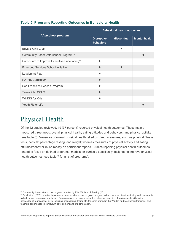|                                                           | <b>Behavioral health outcomes</b>     |                   |                      |  |
|-----------------------------------------------------------|---------------------------------------|-------------------|----------------------|--|
| <b>Afterschool program</b>                                | <b>Disruptive</b><br><b>behaviors</b> | <b>Misconduct</b> | <b>Mental health</b> |  |
| Boys & Girls Club                                         |                                       |                   |                      |  |
| Community Based Afterschool Program <sup>xiv</sup>        |                                       |                   |                      |  |
| Curriculum to Improve Executive Functioning <sup>xv</sup> |                                       |                   |                      |  |
| <b>Extended Services School Initiative</b>                |                                       |                   |                      |  |
| Leaders at Play                                           |                                       |                   |                      |  |
| <b>PATHS Curriculum</b>                                   |                                       |                   |                      |  |
| San Francisco Beacon Program                              |                                       |                   |                      |  |
| Texas 21st CCLC                                           |                                       |                   |                      |  |
| <b>WINGS for Kids</b>                                     |                                       |                   |                      |  |
| Youth Fit for Life                                        |                                       |                   |                      |  |

#### **Table 5. Programs Reporting Outcomes in Behavioral Health**

## <span id="page-17-0"></span>Physical Health

Of the 52 studies reviewed, 19 (37 percent) reported physical health outcomes. These mainly measured three areas: overall physical health, eating attitudes and behaviors, and physical activity (see table 6). Measures of overall physical health relied on direct measures, such as physical fitness tests, body fat percentage testing, and weight; whereas measures of physical activity and eating attitudes/behavior relied mostly on participant reports. Studies reporting physical health outcomes tended to focus on defined programs, models, or curricula specifically designed to improve physical health outcomes (see table 7 for a list of programs).

<span id="page-17-2"></span><span id="page-17-1"></span>xiv Community based afterschool program reported by Fite, Vitulano, & Preddy (2011).

<span id="page-17-3"></span>xv Brock et al. (2017) reported implementation of an afterschool program designed to improve executive functioning and visuospatial skills to improve classroom behavior. Curriculum was developed using the collective expertise of professionals with varied knowledge of foundational skills, including occupational therapists, teachers trained in the Waldorf and Montessori traditions, and teachers experienced in curriculum development and implementation.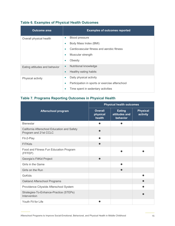|  |  | <b>Table 6. Examples of Physical Health Outcomes</b> |  |  |
|--|--|------------------------------------------------------|--|--|
|--|--|------------------------------------------------------|--|--|

| <b>Outcome area</b>           | <b>Examples of outcomes reported</b>                 |
|-------------------------------|------------------------------------------------------|
| Overall physical health       | Blood pressure<br>۰                                  |
|                               | Body Mass Index (BMI)                                |
|                               | Cardiovascular fitness and aerobic fitness           |
|                               | Muscular strength                                    |
|                               | Obesity<br>$\bullet$                                 |
| Eating attitudes and behavior | Nutritional knowledge<br>$\bullet$                   |
|                               | Healthy eating habits<br>$\bullet$                   |
| Physical activity             | Daily physical activity<br>$\bullet$                 |
|                               | Participation in sports or exercise afterschool<br>۰ |
|                               | Time spent in sedentary activities                   |

### <span id="page-18-0"></span>**Table 7. Programs Reporting Outcomes in Physical Health**

|                                                                      |                                      | <b>Physical health outcomes</b>            |                             |  |  |
|----------------------------------------------------------------------|--------------------------------------|--------------------------------------------|-----------------------------|--|--|
| <b>Afterschool program</b>                                           | <b>Overall</b><br>physical<br>health | <b>Eating</b><br>attitudes and<br>behavior | <b>Physical</b><br>activity |  |  |
| <b>Bienestar</b>                                                     |                                      |                                            |                             |  |  |
| California Afterschool Education and Safety<br>Program and 21st CCLC |                                      |                                            |                             |  |  |
| Fit-2-Play                                                           | ●                                    |                                            |                             |  |  |
| <b>FITKids</b>                                                       |                                      |                                            |                             |  |  |
| Food and Fitness Fun Education Program<br>(FFFEP)                    |                                      |                                            |                             |  |  |
| Georgia's FitKid Project                                             |                                      |                                            |                             |  |  |
| Girls in the Game                                                    |                                      |                                            |                             |  |  |
| Girls on the Run                                                     |                                      |                                            |                             |  |  |
| GoKids                                                               |                                      |                                            |                             |  |  |
| Oakland Afterschool Programs                                         |                                      |                                            |                             |  |  |
| Providence Citywide Afterschool System                               |                                      |                                            |                             |  |  |
| Strategies-To-Enhance-Practice (STEPs)<br>Intervention               |                                      |                                            |                             |  |  |
| Youth Fit for Life                                                   |                                      |                                            |                             |  |  |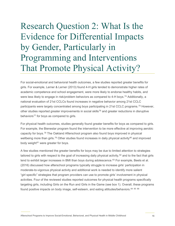# <span id="page-19-0"></span>Research Question 2: What Is the Evidence for Differential Impacts by Gender, Particularly in Programming and Interventions That Promote Physical Activity?

For social-emotional and behavioral health outcomes, a few studies reported greater benefits for girls. For example, Lerner & Lerner (2013) found 4-H girls tended to demonstrate higher rates of academic competence and school engagement, were more likely to endorse healthy habits, and were less likely to engage in risk/problem behaviors as compared to 4-H boys. [74](#page-46-4) Additionally, a national evaluation of 21st CCLCs found increases in negative behavior among 21st CCLC participants were largely concentrated among boys participating in 21st CCLC programs. [75](#page-46-5) However, other studies reported greater improvements in social skills<sup>[76](#page-46-6)</sup> and greater reductions in disruptive behaviors<sup>[77](#page-46-7)</sup> for boys as compared to girls.

For physical health outcomes, studies generally found greater benefits for boys as compared to girls. For example, the Bienestar program found the intervention to be more effective at improving aerobic capacity for boys. [78](#page-46-8) The Oakland Afterschool program also found boys improved in physical wellbeing more than girls.<sup>[79](#page-46-9)</sup> Other studies found increases in daily physical activity<sup>[80](#page-46-10)</sup> and improved body weight $81$  were greater for boys.

A few studies mentioned the greater benefits for boys may be due to limited attention to strategies tailored to girls with respect to the goal of increasing daily physical activity,<sup>[82](#page-46-12)</sup> and to the fact that girls tend to exhibit larger increases in BMI than boys during adolescence.<sup>[83](#page-46-13)</sup> For example, Beets et al. (2016) discussed how afterschool programs typically struggle to increase girls' participation in moderate-to-vigorous physical activity and additional work is needed to identify more salient "girl specific" strategies that program providers can use to promote girls' involvement in physical activities. Four of the reviewed studies reported outcomes for physical health programs specifically targeting girls, including Girls on the Run and Girls in the Game (see box 1). Overall, these programs found positive impacts on body image, self-esteem, and eating attitudes/behaviors. [84](#page-46-14) [85](#page-46-15) [86](#page-46-16)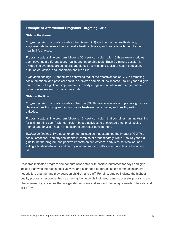#### **Example of Afterschool Programs Targeting Girls**

#### **Girls in the Game**

*Program goals.* The goals of Girls in the Game (GIG) are to enhance health literacy, empower girls to believe they can make healthy choices, and promote self-control around healthy life choices.

*Program content.* The program follows a 30-week curriculum with 10 three-week modules, each covering a different sport, health, and leadership topic. Each 90-minute session is divided into two focus areas: sports and fitness activities and topics of health education, nutrition education, and leadership and life skills.

*Evaluation findings.* A randomized controlled trial of the effectiveness of GIG in promoting social-emotional and physical health in a diverse sample of low-income 8 to 12-year-old girls found small but significant improvements in body image and nutrition knowledge, but no impact on self-esteem or body mass index.

#### **Girls on the Run**

*Program goals.* The goals of Girls on the Run (GOTR) are to educate and prepare girls for a lifetime of healthy living and to improve self-esteem, body image, and healthy eating attitudes.

*Program content.* The program follows a 12-week curriculum that combines running (training for a 5K running event) with curriculum-based activities to encourage emotional, social, mental, and physical health in addition to character development.

*Evaluation findings.* Two quasi-experimental studies that examined the impact of GOTR on social, emotional, and physical health in samples of predominately White, 8 to 13-year-old girls found the program had positive impacts on self-esteem, body-size satisfaction, and eating attitudes/behaviors and on physical and running self-concept and fear of becoming fat.

Research indicates program components associated with positive outcomes for boys and girls include staff who interact in positive ways and expanded opportunities for communication by negotiation, sharing, and play between children and staff. For girls, studies indicate the highest quality programs recognize them as having their own distinct needs, and successful programs are characterized by strategies that are gender sensitive and support their unique needs, interests, and skills.<sup>[87](#page-46-17) [88](#page-46-18)</sup>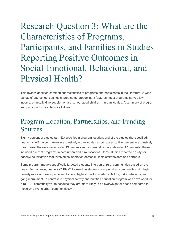<span id="page-21-0"></span>Research Question 3: What are the Characteristics of Programs, Participants, and Families in Studies Reporting Positive Outcomes in Social-Emotional, Behavioral, and Physical Health?

This review identified common characteristics of programs and participants in the literature. A wide variety of afterschool settings shared some predominant features: most programs served lowincome, ethnically diverse, elementary-school-aged children in urban locales. A summary of program and participant characteristics follows.

## <span id="page-21-1"></span>Program Location, Partnerships, and Funding Sources

Eighty percent of studies (*n* = 42) specified a program location; and of the studies that specified, nearly half (48 percent) were in exclusively urban locales as compared to five percent in exclusively rural. Two-fifths were nationwide (19 percent) and somewhat fewer statewide (17 percent). These included a mix of programs in both urban and rural locations. Some studies reported on city- or nationwide initiatives that involved collaboration across multiple stakeholders and partners.

Some program models specifically targeted students in urban or rural communities based on the goals. For instance, Leaders @ Play<sup>[89](#page-46-19)</sup> focused on students living in urban communities with high poverty rates who were perceived to be at highest risk for academic failure, risky behaviors, and gang recruitment. In contrast, a physical activity and nutrition education program was developed for rural U.S. community youth because they are more likely to be overweight or obese compared to those who live in urban communities. [90](#page-46-20)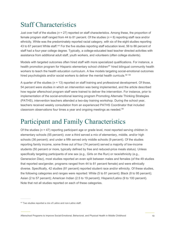# <span id="page-22-0"></span>Staff Characteristics

Just over half of the studies (*n* = 27) reported on staff characteristics. Among these, the proportion of female program staff ranged from 44 to 81 percent. Of the studies (*n* = 8) reporting staff race and/or ethnicity, White was the predominately reported racial category, with six of the eight studies reporting 43 to 67 percent White staff.<sup>[xvi](#page-22-2)</sup> For the five studies reporting staff education level, 56 to 86 percent of staff had a four-year college degree. Typically, a college-educated lead teacher directed activities with assistance from additional adult staff, youth workers, and volunteers (often college students).

Models with targeted outcomes often hired staff with more specialized qualifications. For instance, a health promotion program for Hispanic elementary school children<sup>[91](#page-47-0)</sup> hired bilingual community health workers to teach the health education curriculum. A few models targeting social-emotional outcomes hired psychologists and/or social workers to deliver the mental health curricula.<sup>[92](#page-47-1) [93](#page-47-2)</sup>

A quarter of the studies (*n* = 13) reported on staff training and professional development. Of those, 54 percent were studies in which an intervention was being implemented, and the article described how regular afterschool program staff were trained to deliver the intervention. For instance, prior to implementation of the social-emotional learning program Promoting Alternate Thinking Strategies (PATHS), intervention teachers attended a two-day training workshop. During the school year, teachers received weekly consultation from an experienced PATHS Coordinator that included classroom observations four times a year and ongoing meetings as needed.<sup>94</sup>

## <span id="page-22-1"></span>Participant and Family Characteristics

Of the studies (*n* = 47) reporting participant age or grade level, most reported serving children in elementary schools (55 percent); over a third served a mix of elementary, middle, and/or high schools (36 percent); and under a fifth served only middle schools (9 percent). Of the studies reporting family income, some three out of four (74 percent) served a majority of low-income students (50 percent or more, typically defined by free and reduced-price meals status). Unless specifically targeting participants of one sex (e.g., Girls on the Run) or race/ethnicity (e.g., Generacion Diez), most studies reported an even split between males and females (of the 49 studies that reported sex/gender, programs ranged from 44 to 81 percent female) and were ethnically diverse. Specifically, 42 studies (81 percent) reported student race and/or ethnicity. Of these studies, the following categories and ranges were reported: White (5 to 81 percent); Black (8 to 95 percent); Asian (2 to 57 percent); American Indian (2.5 to 19 percent); Hispanic/Latino (9 to 100 percent). Note that not all studies reported on each of these categories.

<span id="page-22-2"></span>xvi Two studies reported a mix of Latino and non-Latino staff.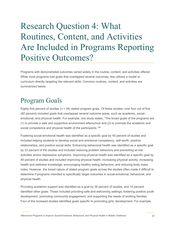# <span id="page-23-0"></span>Research Question 4: What Routines, Content, and Activities Are Included in Programs Reporting Positive Outcomes?

Programs with demonstrated outcomes varied widely in the routine, content, and activities offered. While most programs had goals that overlapped several outcomes, few utilized a model or curriculum directly targeting the relevant skills. Common routines, content, and activities are summarized below.

# <span id="page-23-1"></span>Program Goals

Eighty-five percent of studies ( $n = 44$ ) stated program goals. Of these studies, over four out of five (82 percent) included goals that overlapped several outcome areas, such as academic, socialemotional, and physical health. For example, one study states, "The broad goals of the programs are (1) to provide a safe and supportive environment afterschool and (2) to promote the academic and social competence and physical health of the participants."[95](#page-47-4)

Fostering social-emotional health was identified as a specific goal by 45 percent of studies and included helping students to develop social and emotional competency, self-worth, positive relationships, and positive social skills. Enhancing behavioral health was identified as a specific goal by 23 percent of the studies and included reducing problem behaviors and preventing at-risk activities and/or depressive symptoms. Improving physical health was identified as a specific goal by 45 percent of studies and included improving physical health, increasing physical activity, increasing health and wellness knowledge, encouraging healthy eating behaviors, and reducing body mass index. However, the broad nature of stated program goals across the studies often made it difficult to determine if programs intended to specifically target outcomes in social-emotional, behavioral, and physical health.

Providing academic support was identified as a goal by 30 percent of studies, and 14 percent identified other goals. These included providing safe and welcoming settings, fostering positive youth development, promoting community engagement, and supporting the needs of working families. Four of the reviewed studies identified goals specific to promoting girls' development. For example,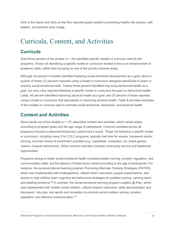Girls in the Game and Girls on the Run reported goals related to promoting healthy life choices, selfesteem, and positive body image.

# <span id="page-24-0"></span>Curricula, Content, and Activities

### **Curricula**

Sixty-three percent of the studies (*n* = 33) identified specific models or curricula used by the programs. Those not identifying a specific model or curriculum tended to focus on enhancement of academic skills, rather than focusing on one of the priority outcome areas.

Although 45 percent of studies identified fostering social-emotional development as a goal, about a quarter of those (12 percent) reported using a model or curriculum designed specifically to teach or practice social-emotional skills. Twenty-three percent identified improving behavioral health as a goal, but only a few reported following a specific model or curriculum focused on behavioral health. Lastly, 45 percent identified improving physical health as a goal, and 25 percent of those reported using a model or curriculum that specialized in improving physical health. Table 8 provides examples of the models or curricula used to promote social-emotional, behavioral, and physical health.

### **Content and Activities**

About seven out of ten studies (*n* = 37) described content and activities, which varied widely according to program goals and the age range of participants. Common activities across all programs included a welcome/introductory period and a snack. Those not following a specific model or curriculum, including many 21st CCLC programs, typically had time for snacks, homework and/or tutoring, and free choice of enrichment activities (e.g., basketball, computers, art, board games, visitors, musical instruments). Other common activities included community service and leadership opportunities.

Programs aiming to foster social-emotional health included problem solving, emotion regulation, and communication skills, but the delivery of these topics varied according to the age of participants. For instance, the social-emotional learning program Promoting Alternate Thinking Strategies (PATHS), which was implemented with kindergartners, utilized direct instruction; puppet presentations; and stories to help children learn cognitive and behavioral strategies for problem solving, calming down, and labeling emotions. $^{96}$  $^{96}$  $^{96}$  In contrast, the social-emotional learning program Leaders @ Play, which was implemented with middle school children, utilized didactic instruction; skills demonstration and discussion; role play; and sports and recreation to promote social problem solving, emotion regulation, and effective communication.[97](#page-47-6)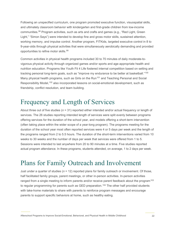Following an unspecified curriculum, one program promoted executive function, visuospatial skills, and ultimately classroom behavior with kindergarten and first-grade children from low-income communities.<sup>[98](#page-47-7)</sup> Program activities, such as arts and crafts and games (e.g., "Red Light, Green Light," "Simon Says") were intended to develop fine and gross motor skills, sustained attention, working memory, and impulse control. Another program, FITKids, targeted executive control in 8 to 9-year-olds through physical activities that were simultaneously aerobically demanding and provided opportunities to refine motor skills. [99](#page-47-8) 

Common activities in physical health programs included 30 to 70 minutes of daily moderate-tovigorous physical activity through organized games and/or sports and age-appropriate health and nutrition education. Programs like Youth Fit 4 Life fostered internal competition based on setting and tracking personal long-term goals, such as "improve my endurance to be better at basketball."<sup>[100](#page-47-9)</sup> Many physical health programs, such as Girls on the Run<sup>[101](#page-47-10)</sup> and Teaching Personal and Social Responsibility Model,<sup>[102](#page-47-11)</sup> also incorporated lessons on social-emotional development, such as friendship, conflict resolution, and team building.

### <span id="page-25-0"></span>Frequency and Length of Services

About three out of five studies (*n* = 31) reported either intended and/or actual frequency or length of services. The 26 studies reporting intended length of services were split evenly between programs offering services for the duration of the school year, and models offering a short-term intervention (often taking place within the wider scope of a year-long program). The programs meeting for the duration of the school year most often reported services were 4 or 5 days per week and the length of the programs ranged from 2 to 5.5 hours. The duration of the short-term interventions varied from 10 weeks to 30 weeks and the number of days per week that services were offered from 1 to 5. Sessions were intended to last anywhere from 20 to 90 minutes at a time. Five studies reported actual program attendance. In these programs, students attended, on average, 1 to 2 days per week.

## <span id="page-25-1"></span>Plans for Family Outreach and Involvement

Just under a quarter of studies (*n* = 12) reported plans for family outreach or involvement. Of those, half facilitated family groups, parent meetings, or other in-person activities. In-person activities ranged from a single meeting to inform parents and/or receive parent feedback about the program<sup>[103](#page-47-12)</sup> to regular programming for parents such as GED preparation.<sup>[104](#page-47-13)</sup> The other half provided students with take-home materials to share with parents to reinforce program messages and encourage parents to support specific behaviors at home, such as healthy eating.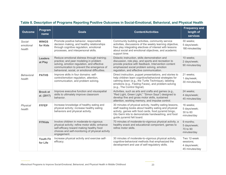<span id="page-26-0"></span>

| <b>Outcome</b>                 | Program<br>name               | <b>Goals</b>                                                                                                                                                                                                                       | <b>Content/Activities</b>                                                                                                                                                                                                                                        | <b>Frequency and</b><br>length of<br><b>services</b>       |
|--------------------------------|-------------------------------|------------------------------------------------------------------------------------------------------------------------------------------------------------------------------------------------------------------------------------|------------------------------------------------------------------------------------------------------------------------------------------------------------------------------------------------------------------------------------------------------------------|------------------------------------------------------------|
| Social-<br>emotional<br>health | <b>WINGS</b><br>for Kids      | Promote positive behavior, responsible<br>decision making, and healthy relationships<br>through cognitive regulation, emotional<br>processes, and interpersonal skills.                                                            | Community building activities, community service<br>activities, discussions of the weekly learning objective,<br>free play integrating electives of interest with lessons<br>about social and emotional objectives, and academic<br>support time.                | 30 weeks;<br>5 days/week;<br>180 minutes/day               |
|                                | <b>Leaders</b><br>at Play     | Reduce emotional distress through training;<br>practice; and peer modeling in problem<br>solving, emotion regulation, and effective<br>communication to prevent the emergence of<br>behavioral, social, or emotional difficulties. | Didactic instruction, skills demonstration and<br>discussion, role play, and sports and recreation to<br>provide practice with feedback. Intervention content<br>emphasized social problem solving, emotion<br>regulation, and effective communication.          | 10 weeks;<br>2 days/week;<br>90 minutes/day                |
| Behavioral<br>health           | <b>PATHS</b>                  | Improve skills in four domains: self-<br>control/emotion regulation, attention,<br>communication, and problem solving.                                                                                                             | Direct instruction, puppet presentations, and stories to<br>help children learn cognitive/behavioral strategies for<br>calming down (e.g., the Turtle Technique), labeling<br>emotions (e.g., Feeling Faces), and problem-solving<br>(e.g., The Control Signal). | 21 weeks;<br>1 day/week;<br>30 minutes/day                 |
|                                | <b>Brock et</b><br>al. (2017) | Improve executive function and visuospatial<br>skills to ultimately improve classroom<br>behavior.                                                                                                                                 | Activities, such as arts and crafts and games (e.g.,<br>"Red Light, Green Light," "Simon Says") designed to<br>develop fine and gross motor skills, sustained<br>attention, working memory, and impulse control.                                                 | 24 weeks;<br>4 days/week;<br>45 minutes/day                |
| Physical<br>health             | <b>FFFEP</b>                  | Increase knowledge of healthy eating and<br>physical activity; increase healthy eating<br>behaviors and physical activity.                                                                                                         | 30 minutes of physical activity, healthy eating lessons,<br>staff reading books about healthy eating and physical<br>activity, games with food cards, food pyramid bingo,<br>Glo Germ kits to demonstrate handwashing, and food<br>guide pyramid felt board.     | 16 weeks;<br>5 days/week;<br>30 to 60<br>minutes/day       |
|                                | <b>FITKids</b>                | Involve children in moderate-to-vigorous<br>physical activity; refine motor skills; enhance<br>self-efficacy toward making healthy food<br>choices and self-monitoring of physical activity<br>engagement.                         | 70 minutes of moderate-to-vigorous physical activity, a<br>healthy snack and educational component, games to<br>refine motor skills.                                                                                                                             | 9 months;<br>5 days/week;<br>70 to 90<br>minutes/day       |
|                                | <b>Youth Fit</b><br>for Life  | Increase physical activity and exercise self-<br>efficacy.                                                                                                                                                                         | 30 minutes of moderate-to-vigorous physical activity,<br>cognitive-behavioral methods that emphasized the<br>development and use of self-regulatory skills.                                                                                                      | Two 12-week<br>sessions:<br>4 days/week;<br>45 minutes/day |

### **Table 8. Description of Programs Reporting Positive Outcomes in Social-Emotional, Behavioral, and Physical Health**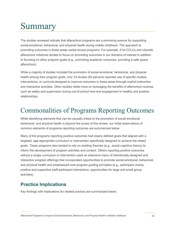# <span id="page-27-0"></span>Summary

The studies reviewed indicate that afterschool programs are a promising avenue for supporting social-emotional, behavioral, and physical health during middle childhood. The approach to promoting outcomes in these areas varied across programs. For example, 21st CCLCs and citywide afterschool initiatives tended to focus on promoting outcomes in our domains of interest in addition to focusing on other program goals (e.g., promoting academic outcomes, providing a safe space afterschool).

While a majority of studies included the promotion of social-emotional, behavioral, and physical health among their program goals, only 33 studies (63 percent) reported use of specific models, interventions, or curricula designed to improve outcomes in these areas through explicit instruction and interactive activities. Other studies relied more on leveraging the benefits of afterschool routines, such as safety and supervision during out-of-school time and engagement in healthy and positive relationships.

## <span id="page-27-1"></span>Commonalities of Programs Reporting Outcomes

While identifying elements that can be causally linked to the promotion of social-emotional, behavioral, and physical health is beyond the scope of this review, our initial observations of common elements of programs reporting outcomes are summarized below.

Many of the programs reporting positive outcomes had clearly defined goals that aligned with a targeted, age-appropriate curriculum or intervention specifically designed to achieve the stated goals. These programs also tended to rely on existing theories (e.g., social cognitive theory) to inform the development of program activities and content. Others reporting positive outcomes without a single curriculum or intervention used an extensive menu of intentionally designed and interactive program offerings that incorporated opportunities to promote social-emotional, behavioral, and physical health and emphasized core program guiding principles (e.g., participant choice, positive and supportive staff-participant interactions, opportunities for large and small group activities).

### **Practice Implications**

Key findings with implications for related practice are summarized below.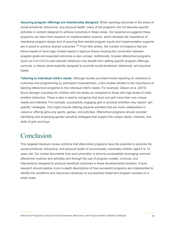**Assuring program offerings are intentionally designed.** While reporting outcomes in the areas of social-emotional, behavioral, and physical health, many of the programs did not describe specific activities or content designed to achieve outcomes in these areas. Our experience suggests these programs can learn from research on implementation science, which stresses the importance of intentional program design and of assuring that needed program inputs and implementation supports are in place to achieve desired outcomes.<sup>[105](#page-47-14)</sup> From this review, the number of programs that are theory-based or have logic models based in rigorous theory showing the connection between program goals and expected outcomes is also unclear. Additionally, broader afterschool programs (such as 21st CCLCs and citywide initiatives) may benefit from adding specific program offerings, curricula, or lesson plans explicitly designed to promote social-emotional, behavioral, and physical health.

**Tailoring to individual child's needs.** Although studies provided limited reporting on variations in outcomes and programming by participant characteristics, a few studies alluded to the importance of tailoring afterschool programs to the individual child's needs. For example, Gibson et al. (2015) found stronger outcomes for children with low levels as compared to those with high levels of initial problem behaviors. There is also a need to recognize that boys and girls have their own unique needs and interests. For example, successfully engaging girls in physical activities may require "girlspecific" strategies. This might include offering physical activities that are more collaborative in nature or offering girls-only sports, games, and activities. Afterschool programs should consider identifying and employing gender-sensitive strategies that support the unique needs, interests, and skills of girls and boys.

### <span id="page-28-0"></span>Conclusion

This targeted literature review confirms that afterschool programs have the potential to promote the social-emotional, behavioral, and physical health of economically vulnerable children aged 6 to 12 years old. Our review documents how such promotion is done by purposefully leveraging common afterschool routines and activities and through the use of program models, curricula, and interventions designed to produce beneficial outcomes in these developmental domains. Future research should explore more in-depth descriptions of how successful programs are implemented to identify the conditions and resources necessary to successfully implement program success on a wider scale.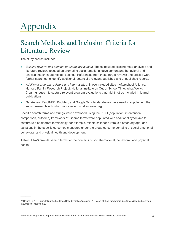# <span id="page-29-0"></span>Appendix

# <span id="page-29-1"></span>Search Methods and Inclusion Criteria for Literature Review

The study search included—

- *Existing reviews and seminal or exemplary studies.* These included existing meta-analyses and literature reviews focused on promoting social-emotional development and behavioral and physical health in afterschool settings. References from these target reviews and articles were further searched to identify additional, potentially relevant published and unpublished reports.
- *Additional program registers and internet sites.* These included sites—Afterschool Alliance, Harvard Family Research Project, National Institute on Out-of-School Time, What Works Clearinghouse—to capture relevant program evaluations that might not be included in journal publications.
- *Databases.* PsycINFO, PubMed, and Google Scholar databases were used to supplement the known research with which more recent studies were begun.

Specific search terms and strings were developed using the PICO (population, intervention, comparison, outcome) framework.<sup>[xvii](#page-29-2)</sup> Search terms were populated with additional synonyms to capture use of different terminology (for example, middle childhood versus elementary age) and variations in the specific outcomes measured under the broad outcome domains of social-emotional, behavioral, and physical health and development.

Tables A1-A3 provide search terms for the domains of social-emotional, behavioral, and physical health.

Afterschool Programs to Improve Social-Emotional, Behavioral, and Physical Health in Middle Childhood 26

<span id="page-29-2"></span>xvii Davies (2011). Formulating the Evidence Based Practice Question: A Review of the Frameworks*. Evidence Based Library and Information Practice, 6.2.*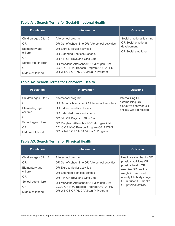#### <span id="page-30-0"></span>**Table A1. Search Terms for Social-Emotional Health**

| <b>Population</b>     | <b>Intervention</b>                             | <b>Outcome</b>                     |
|-----------------------|-------------------------------------------------|------------------------------------|
| Children ages 6 to 12 | Afterschool program                             | Social-emotional learning          |
| OR.                   | OR Out of school time OR Afterschool activities | OR Social-emotional                |
| Elementary age        | <b>OR Extracurricular activities</b>            | development<br>OR Social emotional |
| children              | <b>OR Extended Services Schools</b>             |                                    |
| OR.                   | OR 4-H OR Boys and Girls Club                   |                                    |
| School age children   | OR Maryland Afterschool OR Michigan 21st        |                                    |
| OR.                   | CCLC OR NYC Beacon Program OR PATHS             |                                    |
| Middle childhood      | OR WINGS OR YMCA Virtual Y Program              |                                    |

#### <span id="page-30-1"></span>**Table A2. Search Terms for Behavioral Health**

| <b>Population</b>     | <b>Intervention</b>                             | <b>Outcome</b>                                  |
|-----------------------|-------------------------------------------------|-------------------------------------------------|
| Children ages 6 to 12 | Afterschool program                             | Internalizing OR                                |
| <b>OR</b>             | OR Out of school time OR Afterschool activities | externalizing OR                                |
| Elementary age        | <b>OR Extracurricular activities</b>            | disruptive behavior OR<br>anxiety OR depression |
| children              | <b>OR Extended Services Schools</b>             |                                                 |
| OR.                   | OR 4-H OR Boys and Girls Club                   |                                                 |
| School age children   | OR Maryland Afterschool OR Michigan 21st        |                                                 |
| <b>OR</b>             | CCLC OR NYC Beacon Program OR PATHS             |                                                 |
| Middle childhood      | OR WINGS OR YMCA Virtual Y Program              |                                                 |

#### <span id="page-30-2"></span>**Table A3. Search Terms for Physical Health**

| <b>Population</b>                              | <b>Intervention</b>                                                                                                   | <b>Outcome</b>                                                       |
|------------------------------------------------|-----------------------------------------------------------------------------------------------------------------------|----------------------------------------------------------------------|
| Children ages 6 to 12<br>OR.                   | Afterschool program<br>OR Out of school time OR Afterschool activities                                                | Healthy eating habits OR<br>physical activities OR                   |
| Elementary age<br>children                     | OR Extracurricular activities<br><b>OR Extended Services Schools</b>                                                  | physical health OR<br>exercise OR healthy                            |
| OR.                                            | OR 4-H OR Boys and Girls Club                                                                                         | weight OR reduced<br>obesity OR body image<br>OR nutrition OR health |
| School age children<br>OR.<br>Middle childhood | OR Maryland Afterschool OR Michigan 21st<br>CCLC OR NYC Beacon Program OR PATHS<br>OR WINGS OR YMCA Virtual Y Program | OR physical activity                                                 |
|                                                |                                                                                                                       |                                                                      |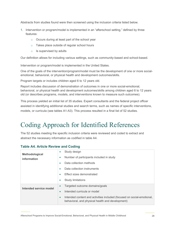Abstracts from studies found were then screened using the inclusion criteria listed below.

- 1. Intervention or program/model is implemented in an "afterschool setting," defined by three features:
	- o Occurs during at least part of the school year
	- o Takes place outside of regular school hours
	- $\circ$  Is supervised by adults

Our definition allows for including various settings, such as community-based and school-based.

Intervention or program/model is implemented in the United States.

One of the goals of the intervention/program/model must be the development of one or more socialemotional, behavioral, or physical health and development outcomes/skills.

Program targets or includes children aged 6 to 12 years old.

Report includes discussion of demonstration of outcomes in one or more social-emotional, behavioral, or physical health and development outcomes/skills among children aged 6 to 12 years old (or describes programs, models, and interventions known to measure such outcomes).

This process yielded an initial list of 35 studies. Expert consultants and the federal project officer assisted in identifying additional studies and search terms, such as names of specific interventions, models, or curricula (see tables A1-A3). This process resulted in a final list of 52 studies.

# <span id="page-31-0"></span>Coding Approach for Identified References

The 52 studies meeting the specific inclusion criteria were reviewed and coded to extract and abstract the necessary information as codified in table A4.

#### <span id="page-31-1"></span>**Table A4. Article Review and Coding**

| Methodological<br>information | Study design<br>۰<br>Number of participants included in study<br>۰<br>Data collection methods<br>$\bullet$<br>Data collection instruments<br>۰<br>Effect sizes demonstrated<br>$\bullet$<br><b>Study limitations</b><br>$\bullet$  |
|-------------------------------|------------------------------------------------------------------------------------------------------------------------------------------------------------------------------------------------------------------------------------|
| Intended service model        | Targeted outcome domains/goals<br>$\bullet$<br>Intended curricula or model<br>$\bullet$<br>Intended content and activities included (focused on social-emotional,<br>$\bullet$<br>behavioral, and physical health and development) |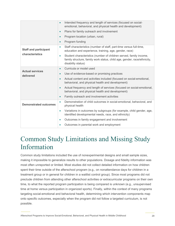|                              | Intended frequency and length of services (focused on social-<br>$\bullet$<br>emotional, behavioral, and physical health and development)                                         |  |  |
|------------------------------|-----------------------------------------------------------------------------------------------------------------------------------------------------------------------------------|--|--|
|                              | Plans for family outreach and involvement<br>$\bullet$                                                                                                                            |  |  |
|                              | Program location (urban, rural)<br>$\bullet$                                                                                                                                      |  |  |
|                              | Program funding<br>$\bullet$                                                                                                                                                      |  |  |
| <b>Staff and participant</b> | Staff characteristics (number of staff, part-time versus full-time,<br>$\bullet$<br>education and experience, training, age, gender, race)                                        |  |  |
| characteristics              | Student characteristics (number of children served, family income,<br>$\bullet$<br>family structure, family work status, child age, gender, race/ethnicity,<br>disability status) |  |  |
| <b>Actual services</b>       | Curricula or model used<br>$\bullet$                                                                                                                                              |  |  |
| delivered                    | Use of evidence-based or promising practices<br>$\bullet$                                                                                                                         |  |  |
|                              | Actual content and activities included (focused on social-emotional,<br>$\bullet$<br>behavioral, and physical health and development)                                             |  |  |
|                              | Actual frequency and length of services (focused on social-emotional,<br>$\bullet$<br>behavioral, and physical health and development)                                            |  |  |
|                              | Family outreach and involvement activities<br>$\bullet$                                                                                                                           |  |  |
| <b>Demonstrated outcomes</b> | Demonstration of child outcomes in social-emotional, behavioral, and<br>$\bullet$<br>physical health                                                                              |  |  |
|                              | Variations in outcomes by subgroups (for example, child gender, age,<br>$\bullet$<br>identified developmental needs, race, and ethnicity)                                         |  |  |
|                              | Outcomes in family engagement and involvement<br>$\bullet$                                                                                                                        |  |  |
|                              | Outcomes in parental work and employment<br>$\bullet$                                                                                                                             |  |  |

# <span id="page-32-0"></span>Common Study Limitations and Missing Study Information

Common study limitations included the use of nonexperimental designs and small sample sizes, making it impossible to generalize results to other populations. Dosage and fidelity information was most often unreported or limited. Most studies did not collect detailed information on how children spent their time outside of the afterschool program (e.g., on nonattendance days for children in a treatment group or in general for children in a waitlist control group). Since most programs did not preclude children from attending other afterschool activities or extracurricular programs on their own time, to what the reported program participation is being compared is unknown (e.g., unsupervised time at home versus participation in organized sports). Finally, within the context of many programs targeting social-emotional and behavioral health, determining which intervention components map onto specific outcomes, especially when the program did not follow a targeted curriculum, is not possible.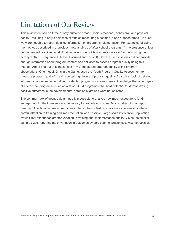# <span id="page-33-0"></span>Limitations of Our Review

This review focused on three priority outcome areas—social-emotional, behavioral, and physical health—resulting in only a selection of studies measuring outcomes in one of these areas. As such, we were not able to report detailed information on program implementation. For example, following the methods described in a previous meta-analysis of after-school programs, [106](#page-47-15) the presence of four recommended practices for skill training was coded dichotomously on a yes/no basis using the acronym SAFE (Sequenced, Active, Focused and Explicit). However, most studies did not provide enough information about program content and activities to assess program quality using this method. About one out of eight studies ( $n = 7$ ) measured program quality using program observations. One model, Girls in the Game, used the Youth Program Quality Assessment to measure program quality<sup>[107](#page-47-16)</sup> and reported high levels of program quality. Apart from lack of detailed information about implementation of selected programs for review, we acknowledge that other types of afterschool programs—such as arts or STEM programs—that hold potential for demonstrating positive outcomes in the developmental domains examined were not selected.

The common lack of dosage data made it impossible to analyze how much exposure to (and engagement in) the intervention is necessary to promote outcomes. Most studies did not report treatment fidelity; when measured, it was often in the context of small-scale interventions where careful attention to training and implementation was possible. Large-scale intervention replication would likely experience greater variation in training and implementation quality. Given the smaller sample sizes, reporting much variation in outcomes by participant characteristics was not possible.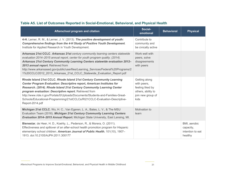<span id="page-34-0"></span>

| Afterschool program and citation                                                                                                                                                                                                                                                                                                                                                                                                                                             | Social-<br>emotional                                                                                | <b>Behavioral</b> | <b>Physical</b>                                          |
|------------------------------------------------------------------------------------------------------------------------------------------------------------------------------------------------------------------------------------------------------------------------------------------------------------------------------------------------------------------------------------------------------------------------------------------------------------------------------|-----------------------------------------------------------------------------------------------------|-------------------|----------------------------------------------------------|
| 4-H. Lerner, R. M., & Lerner, J. V. (2013). The positive development of youth:<br>Comprehensive findings from the 4-H Study of Positive Youth Development.<br>Institute for Applied Research in Youth Development.                                                                                                                                                                                                                                                           | Contribute to<br>community and<br>be civically active                                               |                   |                                                          |
| Arkansas 21st CCLC. Arkansas 21st century community learning centers statewide<br>evaluation 2014-2015 annual report, center for youth program quality. (2014).<br>Arkansas 21st Century Community Learning Centers statewide evaluation 2012-<br>2013 annual report. Retrieved from<br>http://www.arkansased.gov/public/userfiles/Learning Services/Federal%20Programs/2<br>1%20CCLC/2012 2013 Arkansas 21st CCLC Statewide Evaluation Report.pdf                           | Work well with<br>peers, solve<br>disagreements<br>with peers                                       |                   |                                                          |
| Rhode Island 21st CCLC. Rhode Island 21st Century Community Learning<br><b>Center Program Evaluation: Descriptive report, American Institutes for</b><br>Research. (2014). Rhode Island 21st Century Community Learning Center<br>program evaluation: Descriptive report. Retrieved from<br>http://www.ride.ri.gov/Portals/0/Uploads/Documents/Students-and-Families-Great-<br>Schools/Educational-Programming/21stCCLCs/RI21CCLC-Evaluation-Descriptive-<br>Report-2014.pdf | Getting along<br>with peers,<br>feeling liked by<br>others, ability to<br>join new group of<br>kids |                   |                                                          |
| Michigan 21st CCLC. Wu, H. C., Van Egeren, L. A., Bates, L. V., & The MSU<br>Evaluation Team (2016). Michigan 21st Century Community Learning Centers<br>Evaluation 2014-2015 Annual Report. Michigan State University, East Lansing, Ml.                                                                                                                                                                                                                                    | Motivation to<br>learn                                                                              |                   |                                                          |
| Bienestar, de Heer, H. D., Koehly, L., Pederson, R., & Morera, O. (2011).<br>Effectiveness and spillover of an after-school health promotion program for Hispanic<br>elementary school children. American Journal of Public Health, 101(10), 1907-<br>1913. doi:10.2105/AJPH.2011.300177                                                                                                                                                                                     |                                                                                                     |                   | BMI, aerobic<br>capacity,<br>intention to eat<br>healthy |

### **Table A5. List of Outcomes Reported in Social-Emotional, Behavioral, and Physical Health**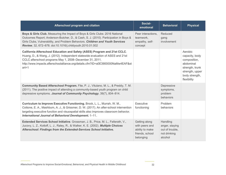| Afterschool program and citation                                                                                                                                                                                                                                                                                         | Social-<br>emotional                                                               | <b>Behavioral</b>                                                        | <b>Physical</b>                                                                                                               |
|--------------------------------------------------------------------------------------------------------------------------------------------------------------------------------------------------------------------------------------------------------------------------------------------------------------------------|------------------------------------------------------------------------------------|--------------------------------------------------------------------------|-------------------------------------------------------------------------------------------------------------------------------|
| Boys & Girls Club. Measuring the Impact of Boys & Girls Clubs: 2016 National<br>Outcomes Report; Anderson-Butcher, D., & Cash, S. J. (2010). Participation in Boys &<br>Girls Clubs, Vulnerability, and Problem Behaviors. Children and Youth Services<br>Review, 32, 672-678. doi:10.1016/j.childyouth.2010.01.002      | Peer interactions.<br>teamwork,<br>empathy, self-<br>concept                       | Reduced<br>gang<br>involvement                                           |                                                                                                                               |
| California Afterschool Education and Safety (ASES) Program and 21st CCLC.<br>Huang, D., & Wang, J. (2012). Independent statewide evaluation of ASES and 21st<br>CCLC afterschool programs May 1, 2008-December 31, 2011.<br>http://www.impacts.afterschoolalliance.org/details.cfm?ID=a0E3900000NaMw4EAF&st<br>$art = 1$ |                                                                                    |                                                                          | Aerobic<br>capacity, body<br>composition,<br>abdominal<br>strength, trunk<br>strength, upper<br>body strength,<br>flexibility |
| Community Based Afterschool Program. Fite, P. J., Vitulano, M. L., & Preddy, T. M.<br>(2011). The positive impact of attending a community-based youth program on child<br>depressive symptoms. Journal of Community Psychology, 39(7), 804-814.                                                                         |                                                                                    | Depressive<br>symptoms,<br>problem<br>behaviors                          |                                                                                                                               |
| Curriculum to Improve Executive Functioning. Brock, L. L., Murrah, W. M.,<br>Cottone, E. A., Mashburn, A. J., & Grissmer, D. W. (2017). An after-school intervention<br>targeting executive function and visuospatial skills also improves classroom behavior.<br>International Journal of Behavioral Development, 1-11. | Executive<br>functioning                                                           | Problem<br>behaviors                                                     |                                                                                                                               |
| Extended Services School Initiative. Grossman, J. B., Price, M. L., Fellerath, V.,<br>Jucovy, L. Z., Kotloff, L. J., Raley, R., & Walker, K. E. (2002). Multiple Choices<br>Afterschool: Findings from the Extended-Services School Initiative.                                                                          | Getting along<br>with peers and<br>ability to make<br>friends, school<br>belonging | Handling<br>anger, staying<br>out of trouble,<br>not drinking<br>alcohol |                                                                                                                               |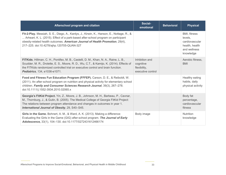| <b>Afterschool program and citation</b>                                                                                                                                                                                                                                                                         | Social-<br>emotional                                             | <b>Behavioral</b> | <b>Physical</b>                                                                          |
|-----------------------------------------------------------------------------------------------------------------------------------------------------------------------------------------------------------------------------------------------------------------------------------------------------------------|------------------------------------------------------------------|-------------------|------------------------------------------------------------------------------------------|
| Fit-2-Play. Messiah, S. E., Diego, A., Kardys, J., Kirwin, K., Hanson, E., Nottage, R., &<br>Arheart, K. L. (2015). Effect of a park-based after-school program on participant<br>obesity-related health outcomes. American Journal of Health Promotion, 29(4),<br>217-225. doi:10.4278/ajhp.120705-QUAN-327    |                                                                  |                   | BMI, fitness<br>levels,<br>cardiovascular<br>health, health<br>and wellness<br>knowledge |
| FITKids. Hillman, C. H., Pontifex, M. B., Castelli, D. M., Khan, N. A., Raine, L. B.,<br>Scudder, M. R., Drolette, E. S., Moore, R. D., Wu, C.T., & Kamijo, K. (2014). Effects of<br>the FITKids randomized controlled trial on executive control and brain function.<br>Pediatrics, 134, e1036-e1071.          | Inhibition and<br>cognitive<br>flexibility,<br>executive control |                   | Aerobic fitness.<br><b>BMI</b>                                                           |
| Food and Fitness Fun Education Program (FFFEP). Carson, D. E., & Reiboldt, W.<br>(2011). An after-school program on nutrition and physical activity for elementary school<br>children. Family and Consumer Sciences Research Journal, 39(3), 267-278.<br>doi:10.1111/j.1552-3934.2010.02065.x                   |                                                                  |                   | Healthy eating<br>habits, daily<br>physical activity                                     |
| Georgia's FitKid Project. Yin, Z., Moore, J. B., Johnson, M. H., Barbeau, P., Cavnar,<br>M., Thornburg, J., & Gutin, B. (2005). The Medical College of Georgia FitKid Project:<br>The relations between program attendance and changes in outcomes in year 1.<br>International Journal of Obesity, 29, S40-S45. |                                                                  |                   | Body fat<br>percentage,<br>cardiovascular<br>fitness                                     |
| Girls in the Game. Bohnert, A. M., & Ward, A. K. (2013). Making a difference:<br>Evaluating the Girls in the Game (GIG) after-school program. The Journal of Early<br>Adolescence, 33(1), 104-130. doi:10.1177/0272431612466174                                                                                 | Body image                                                       |                   | <b>Nutrition</b><br>knowledge                                                            |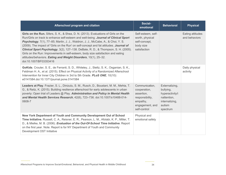| Afterschool program and citation                                                                                                                                                                                                                                                                                                                                                                                                                                                                                                                                                                                                | Social-<br>emotional                                                                                           | <b>Behavioral</b>                                                                                     | <b>Physical</b>                   |
|---------------------------------------------------------------------------------------------------------------------------------------------------------------------------------------------------------------------------------------------------------------------------------------------------------------------------------------------------------------------------------------------------------------------------------------------------------------------------------------------------------------------------------------------------------------------------------------------------------------------------------|----------------------------------------------------------------------------------------------------------------|-------------------------------------------------------------------------------------------------------|-----------------------------------|
| Girls on the Run. Sifers, S. K., & Shea, D. N. (2013). Evaluations of Girls on the<br>Run/Girls on track to enhance self-esteem and well-being. Journal of Clinical Sport<br>Psychology, 7(1), 77–85; Martin, J. J., Waldron, J. J., McCabe, A., & Choi, Y. S.<br>(2009). The impact of 'Girls on the Run' on self-concept and fat attitudes. Journal of<br>Clinical Sport Psychology, 3(2), 127–138. DeBate, R. D., & Thompson, S. H. (2005).<br>Girls on the Run: Improvements in self-esteem, body size satisfaction and eating<br>attitudes/behaviors. Eating and Weight Disorders, 10(1), 25-32.<br>doi:10.1007/BF03353416 | Self-esteem, self-<br>worth, physical<br>self-concept,<br>body size<br>satisfaction                            |                                                                                                       | Eating attitudes<br>and behaviors |
| GoKids. Crouter, S. E., de Ferranti, S. D., Whiteley, J., Steltz, S. K., Osganian, S. K.,<br>Feldman H. A., et al. (2015). Effect on Physical Activity of a Randomized Afterschool<br>Intervention for Inner City Children in 3rd to 5th Grade. PLoS ONE, 10(10):<br>e0141584.doi:10.1371/journal.pone.0141584                                                                                                                                                                                                                                                                                                                  |                                                                                                                |                                                                                                       | Daily physical<br>activity        |
| Leaders at Play. Frazier, S. L., Dinizulu, S. M., Rusch, D., Boustani, M. M., Mehta, T.<br>G., & Reitz, K. (2015). Building resilience afterschool for early adolescents in urban<br>poverty: Open trial of Leaders @ Play. Administration and Policy in Mental Health<br>and Mental Health Services Research, 42(6), 723-736. doi:10.1007/s10488-014-<br>0608-7                                                                                                                                                                                                                                                                | Communication,<br>cooperation,<br>assertion,<br>responsibility,<br>empathy,<br>engagement, and<br>self-control | Externalizing,<br>bullying,<br>hyperactivity/i<br>nattention,<br>internalizing,<br>autism<br>spectrum |                                   |
| New York Department of Youth and Community Development Out of School<br>Time Initiative. Russell, C. A., Reisner, E. R., Pearson, L. M., Afolabi, K. P., Miller, T.<br>D., & Mielke, M. B. (2006). Evaluation of the Out-Of-School Time Initiative. Report<br>on the first year. Note. Report is for NY Department of Youth and Community<br>Development OST Initiative                                                                                                                                                                                                                                                         | Physical and<br>emotional safety                                                                               |                                                                                                       |                                   |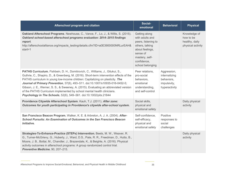| Afterschool program and citation                                                                                                                                                                                                                                                                                                                                                                                                                                                                                                                                                       | Social-<br>emotional                                                                                                                                           | <b>Behavioral</b>                                                           | <b>Physical</b>                                                  |
|----------------------------------------------------------------------------------------------------------------------------------------------------------------------------------------------------------------------------------------------------------------------------------------------------------------------------------------------------------------------------------------------------------------------------------------------------------------------------------------------------------------------------------------------------------------------------------------|----------------------------------------------------------------------------------------------------------------------------------------------------------------|-----------------------------------------------------------------------------|------------------------------------------------------------------|
| Oakland Afterschool Programs. Newhouse, C., Vance, F., Lo, J., & Willis, S. (2015).<br>Oakland school-based afterschool programs evaluation: 2014–2015 findings<br>report.<br>http://afterschoolalliance.org/impacts_testing/details.cfm?ID=a0E3900000NRLurEAH&<br>start=1                                                                                                                                                                                                                                                                                                             | Getting along<br>with adults and<br>peers, listening to<br>others, talking<br>about feelings,<br>sense of<br>mastery, self-<br>confidence,<br>school belonging |                                                                             | Knowledge of<br>how to be<br>healthy, daily<br>physical activity |
| PATHS Curriculum. Fishbein, D. H., Domitrovich, C., Williams, J., Gitukui, S.,<br>Guthrie, C., Shapiro, D., & Greenberg, M. (2016). Short-term intervention effects of the<br>PATHS curriculum in young low-income children: Capitalizing on plasticity. The<br>Journal of Primary Prevention, 37(6), 493-511. doi:10.1007/s10935-016-0452-5;<br>Gibson, J. E., Werner, S. S., & Sweeney, A. (2015). Evaluating an abbreviated version<br>of the PATHS Curriculum implemented by school mental health clinicians.<br>Psychology in The Schools, 52(6), 549-561. doi:10.1002/pits.21844 | Peer relations,<br>pro-social<br>behaviors,<br>emotional<br>understanding,<br>and self-control                                                                 | Aggression,<br>internalizing<br>behaviors,<br>impulsivity,<br>hyperactivity |                                                                  |
| Providence Citywide Afterschool System. Kauh, T.J. (2011). After zone:<br>Outcomes for youth participating in Providence's citywide after-school system.                                                                                                                                                                                                                                                                                                                                                                                                                               | Social skills,<br>physical and<br>emotional safety                                                                                                             |                                                                             | Daily physical<br>activity                                       |
| San Francisco Beacon Program, Walker, K. E. & Arbreton, A. J. A. (2004). After-<br>School Pursuits: An Examination of Outcomes in the San Francisco Beacon<br>Initiative.                                                                                                                                                                                                                                                                                                                                                                                                              | Self-confidence,<br>self-efficacy,<br>physical and<br>emotional safety                                                                                         | Positive<br>responses to<br>social<br>challenges                            |                                                                  |
| Strategies-To-Enhance-Practice (STEPs) Intervention. Beets, M. W., Weaver, R.<br>G., Turner-McGrievy, G., Huberty, J., Ward, D.S., Pate, R. R., Freedman, D., Hutto, B.,<br>Moore, J. B., Bottai, M., Chandler, J., Brazendale, K., & Beighle, A. (2016). Physical<br>activity outcomes in afterschool programs: A group randomized control trial.<br>Preventive Medicine, 90, 207-215.                                                                                                                                                                                                |                                                                                                                                                                |                                                                             | Daily physical<br>activity                                       |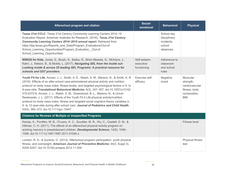| Afterschool program and citation                                                                                                                                                                                                                                                                                                                                                                                                                                                                                                                                                                                                                                                                                                                                          | Social-<br>emotional                     | <b>Behavioral</b>                                              | <b>Physical</b>                                                                        |
|---------------------------------------------------------------------------------------------------------------------------------------------------------------------------------------------------------------------------------------------------------------------------------------------------------------------------------------------------------------------------------------------------------------------------------------------------------------------------------------------------------------------------------------------------------------------------------------------------------------------------------------------------------------------------------------------------------------------------------------------------------------------------|------------------------------------------|----------------------------------------------------------------|----------------------------------------------------------------------------------------|
| Texas 21st CCLC. Texas 21st Century Community Learning Centers 2014-15<br>Evaluation Report, American Institutes for Research. (2016). Texas 21st Century<br><b>Community Learning Centers 2014-2015 annual report.</b> Retrieved from<br>https://tea.texas.gov/Reports_and_Data/Program_Evaluations/Out-of-<br>School Learning Opportunities/Program Evaluation Out-of-<br>School Learning Opportunities/                                                                                                                                                                                                                                                                                                                                                                |                                          | School day<br>disciplinary<br>incidents,<br>school<br>absences |                                                                                        |
| WINGS for Kids. Jones, S., Brush, K., Bailey, R., Brion-Meisels, G., McIntyre, J.,<br>Kahn, J., Nelson, B., & Stickle, L. (2017). Navigating SEL from the inside out:<br>Looking inside & across 25 leading SEL Programs: A practical resource for<br>schools and OST providers.                                                                                                                                                                                                                                                                                                                                                                                                                                                                                          | Self-esteem,<br>executive<br>functioning | Adherence to<br>classroom<br>and school<br>rules               |                                                                                        |
| Youth Fit for Life. Annesi, J. J., Smith, A. E., Walsh, S. M., Mareno, N., & Smith, K. R.<br>(2016). Effects of an after-school care-administered physical activity and nutrition<br>protocol on body mass index, fitness levels, and targeted psychological factors in 5- to<br>8-year-olds. Translational Behavioral Medicine, 6(3), 347-357. doi:10.1007/s13142-<br>015-0372-6; Annesi, J. J., Walsh, S. M., Greenwood, B. L., Mareno, N., & Unruh-<br>Rewkowski, J. L. (2017). Effects of the Youth Fit 4 Life physical activity/nutrition<br>protocol on body mass index, fitness and targeted social cognitive theory variables in<br>9- to 12-year-olds during after-school care. Journal of Pediatrics and Child Health,<br>53(4), 365-373. doi:10.1111/jpc.13447 | Exercise self-<br>efficacy               | Negative<br>mood                                               | Muscular<br>strength,<br>cardiovascular<br>fitness, body<br>composition,<br><b>BMI</b> |
| <b>Citations for Reviews of Multiple or Unspecified Programs</b>                                                                                                                                                                                                                                                                                                                                                                                                                                                                                                                                                                                                                                                                                                          |                                          |                                                                |                                                                                        |
| Kamijo, K., Pontifex, M. B., O'Leary, K. C., Scudder, M. R., Wu, C., Castelli, D. M., &<br>Hillman, C. H. (2011). The effects of an afterschool physical activity program on<br>working memory in preadolescent children. Developmental Science, 14(5), 1046-<br>1058. doi:10.1111/j.1467-7687.2011.01054.x                                                                                                                                                                                                                                                                                                                                                                                                                                                               |                                          |                                                                | <b>Fitness level</b>                                                                   |
| London, R. A., & Gurantz, O. (2013). Afterschool program participation, youth physical<br>fitness, and overweight. American Journal of Preventive Medicine, 44(3, Suppl 3),<br>S200-S207. doi:10.1016/j.amepre.2012.11.009                                                                                                                                                                                                                                                                                                                                                                                                                                                                                                                                                |                                          |                                                                | Physical fitness<br>test                                                               |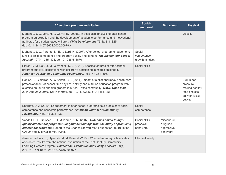| Afterschool program and citation                                                                                                                                                                                                                                                                                                        | Social-<br>emotional                     | <b>Behavioral</b>                                   | <b>Physical</b>                                                                          |
|-----------------------------------------------------------------------------------------------------------------------------------------------------------------------------------------------------------------------------------------------------------------------------------------------------------------------------------------|------------------------------------------|-----------------------------------------------------|------------------------------------------------------------------------------------------|
| Mahoney, J. L., Lord, H., & Carryl, E. (2005). An ecological analysis of after-school<br>program participation and the development of academic performance and motivational<br>attributes for disadvantaged children. Child Development, 76(4), 811-825.<br>doi:10.1111/j.1467-8624.2005.00879.x                                        |                                          |                                                     | Obesity                                                                                  |
| Mahoney, J. L., Parente, M. E., & Lord, H. (2007). After-school program engagement:<br>Links to child competence and program quality and content. The Elementary School<br>Journal, 107(4), 385-404. doi:10.1086/516670                                                                                                                 | Social<br>competence,<br>growth mindset  |                                                     |                                                                                          |
| Pierce, K. M, Bolt, D. M., & Vandell, D. L. (2010). Specific features of after-school<br>program quality: Associations with children's functioning in middle childhood.<br>American Journal of Community Psychology, 45(3-4), 381-393.                                                                                                  | Social skills                            |                                                     |                                                                                          |
| Robles, J., Gutierrez, A., & Seifert, C.F. (2014). Impact of a pilot pharmacy health-care<br>professional out-of-school time physical activity and nutrition education program with<br>exercise on fourth and fifth graders in a rural Texas community. SAGE Open Med.<br>2014 Aug 25;2:2050312114547956. doi: 10.1177/2050312114547956 |                                          |                                                     | BMI, blood<br>pressure,<br>making healthy<br>food choices,<br>daily physical<br>activity |
| Shernoff, D. J. (2010). Engagement in after-school programs as a predictor of social<br>competence and academic performance. American Journal of Community<br>Psychology, 45(3-4), 325-337.                                                                                                                                             | Social<br>competence                     |                                                     |                                                                                          |
| Vandell, D. L., Reisner, E. R., & Pierce, K. M. (2007). Outcomes linked to high-<br>quality afterschool programs: Longitudinal findings from the study of promising<br>afterschool programs (Report to the Charles Stewart Mott Foundation) (p. 9). Irvine,<br>CA: University of California, Irvine.                                    | Social skills,<br>prosocial<br>behaviors | Misconduct,<br>drug use,<br>aggressive<br>behaviors |                                                                                          |
| James-Burdumy, S., Dynarski, M., & Deke, J. (2007). When elementary schools stay<br>open late: Results from the national evaluation of the 21st Century Community<br>Learning Centers program. Educational Evaluation and Policy Analysis, 29(4),<br>296-318. doi:10.3102/0162373707309077                                              | Physical safety                          |                                                     |                                                                                          |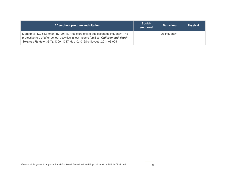| Afterschool program and citation                                                                                                                                                                                                                      | Social-<br>emotional | <b>Behavioral</b> | <b>Physical</b> |
|-------------------------------------------------------------------------------------------------------------------------------------------------------------------------------------------------------------------------------------------------------|----------------------|-------------------|-----------------|
| Mahatmya, D., & Lohman, B. (2011). Predictors of late adolescent delinquency: The<br>protective role of after-school activities in low-income families. Children and Youth<br>Services Review, 33(7), 1309-1317. doi:10.1016/j.childyouth.2011.03.005 |                      | Delinguency       |                 |

Afterschool Programs to Improve Social-Emotional, Behavioral, and Physical Health in Middle Childhood 38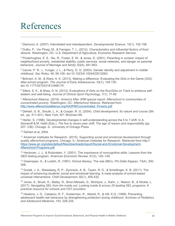# <span id="page-42-0"></span>References

<span id="page-42-1"></span><sup>1</sup> Diamond, A. (2007). Interrelated and interdependent. *Developmental Science*, 10(1), 152-158.

<span id="page-42-2"></span><sup>2</sup> Dutko, P., Ver Ploeg, M., & Farrigan, T. L. (2012). *Characteristics and influential factors of food deserts*. Washington, DC: U.S. Department of Agriculture, Economic Research Service.

<span id="page-42-3"></span><sup>3</sup> Pinderhughes, E. E., Nix, R., Foster, E. M., & Jones, D. (2001). Parenting in context: Impact of neighborhood poverty, residential stability, public services, social networks, and danger on parental behaviors. *Journal of Marriage and family*, 63(4), 941-953.

<span id="page-42-4"></span><sup>4</sup> Carver, P. R., L. Yunger, J. L., & Perry, D. G. (2003). Gender identity and adjustment in middle childhood. *Sex Roles*, 49, 95-109. doi:10.1023/A:1024423012063.

<span id="page-42-5"></span><sup>5</sup> Bohnert, A. M., & Ward, A. K. (2013). Making a difference: Evaluating the Girls in the Game (GIG) after-school program. *The Journal of Early Adolescence*, 33(1), 104-130. doi:10.1177/0272431612466174

<span id="page-42-6"></span><sup>6</sup> Sifers, S. K., & Shea, D. N. (2013). Evaluations of Girls on the Run/Girls on Track to enhance selfesteem and well-being. *Journal of Clinical Sport Psychology*, 7(1), 77-85

<span id="page-42-7"></span><sup>7</sup> Afterschool Alliance. (2016). *America After 3PM special report: Afterschool in communities of concentrated poverty*. Washington, DC: Afterschool Alliance. Retrieved from [http://www.afterschoolalliance.org/AA3PM/Concentrated\\_Poverty.pdf.](http://www.afterschoolalliance.org/AA3PM/Concentrated_Poverty.pdf)

<span id="page-42-8"></span><sup>8</sup> DeHart, G. B., Sroufe, L. A., & Cooper, R. G. (2004). *Child development: Its nature and course* (5th ed., pp. 411-441). New York, NY: McGraw-Hill.

<span id="page-42-9"></span><sup>9</sup> Harter, S. (1996). Developmental changes in self-understanding across the 5 to 7 shift. In A. Sameroff & M. Haith (Eds.), *The five to seven-year shift: The age of reason and responsibility* (pp. 207- 236). Chicago, IL: University of Chicago Press.

<span id="page-42-10"></span><sup>10</sup> DeHart et al, 2004.

<span id="page-42-11"></span><sup>11</sup> American Institutes for Research. (2015). *Supporting social and emotional development through quality afterschool programs*. Chicago, IL: American Institutes for Research. Retrieved from http:// [https://www.air.org/sites/default/files/downloads/report/Social-and-Emotional-Development-](https://www.air.org/sites/default/files/downloads/report/Social-and-Emotional-Development-Afterschool-Programs.pdf)[Afterschool-Programs.pdf](https://www.air.org/sites/default/files/downloads/report/Social-and-Emotional-Development-Afterschool-Programs.pdf) 

<span id="page-42-12"></span><sup>12</sup> Heckman, J. J., & Rubinstein, Y. (2001). The importance of noncognitive skills: Lessons from the GED testing program. *American Economic Review*, 91(2), 145–149.

<span id="page-42-13"></span><sup>13</sup> Greenspan, S., & Lodish, R. (1991). School literacy: The real ABCs. *Phi Delta Kappan*, 73(4), 300- 308.

<span id="page-42-14"></span><sup>14</sup> Durlak, J. A., Weissberg, R. P., Dymnicki, A. B., Taylor, R. D., & Schellinger, K. B. (2011). The impact of enhancing students' social and emotional learning: A meta‐analysis of school‐based universal interventions. *Child Development*, 82(1), 405-432.

<span id="page-42-15"></span><sup>15</sup> Jones, S., Brush, K., Bailey, R., Brion-Meisels, G., McIntyre, J., Kahn, J., Nelson, B., & Stickle, L. (2017). *Navigating SEL from the inside out: Looking inside & across 25 leading SEL programs: A practical resource for schools and OST providers*.

<span id="page-42-16"></span><sup>16</sup> Hawkins, J. D., Catalano, R. F., Kosterman, R., Abbott, R., & Hill, K.G. (1999). Preventing adolescent health-risk behaviors by strengthening protection during childhood. *Archives of Pediatrics and Adolescent Medicine*, 153, 226-234.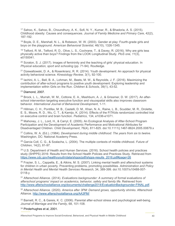<span id="page-43-0"></span><sup>17</sup> Sahoo, K., Sahoo, B., Choundhury, A. K., Sofi, N. Y., Kumar, R., & Bhadoria, A. S. (2015). Childhood obesity: Causes and consequences. *Journal of Family Medicine and Primary Care*, 42(2), 187-192.

<span id="page-43-1"></span><sup>18</sup> Boyle, D. E., Marshall, N. L., & Robeson, W. W. (2003). Gender at play: Fourth-grade girls and boys on the playground. *American Behavioral Scientist*, 46(10), 1326-1345.

<span id="page-43-2"></span><sup>19</sup> Telford, R. M., Telford, R. D., Olive, L. S., Cochrane, T., & Davey, R. (2016). Why are girls less physically active than boys? Findings from the LOOK Longitudinal Study. *PloS one, 11*(3), e0150041.

<span id="page-43-3"></span><sup>20</sup> Scraton, S. J. (2017). Images of femininity and the teaching of girls' physical education. In *Physical education, sport and schooling* (pp. 71-94). Routledge.

<span id="page-43-4"></span><sup>21</sup> Dzewaltowski, D. A., & Rosenkranz, R. R. (2014). Youth development: An approach for physical activity behavioral science. *Kinesiology Review*, 3(1), 92-100.

<span id="page-43-5"></span> $22$  Iachini, A. L., Bell, B. A., Lohman, M., Beets, M. W., & Reynolds, J. F. (2016). Maximizing the contribution of after-school programs to positive youth development: Exploring leadership and implementation within Girls on the Run. *Children & Schools*, 39(1), 43-52.

#### <span id="page-43-6"></span><sup>23</sup> Diamond, 2007.

<span id="page-43-7"></span><sup>24</sup> Brock, L. L., Murrah, W. M., Cottone, E. A., Mashburn, A. J., & Grissmer, D. W. (2017). An afterschool intervention targeting executive function and visuospatial skills also improves classroom behavior. *International Journal of Behavioral Development*, 1-11.

<span id="page-43-8"></span><sup>25</sup> Hillman, C. H., Pontifex, M. B., Castelli, D. M., Khan, N. A., Raine, L. B., Scudder, M. R., Drolette, E. S., Moore, R. D., Wu, C. T., & Kamijo, K. (2014). Effects of the FITKids randomized controlled trial on executive control and brain function*. Pediatrics*, 134, e1036-e1071.

<span id="page-43-9"></span><sup>26</sup> Mahoney, J. L., Lord, H., & Carryl, E. (2005). An Ecological Analysis of After-School Program Participation and the Development of Academic Performance and Motivational Attributes for Disadvantaged Children. *Child Development*, 76(4), 811-825. doi:10.1111/j.1467-8624.2005.00879.x

<span id="page-43-10"></span><sup>27</sup> Collins, W. A. (Ed.). (1984). *Development during middle childhood: The years from six to twelve*. Washington, DC: National Academy Press.

<span id="page-43-11"></span><sup>28</sup> Garcia Coll, C. G., & Szalacha, L. (2004). The multiple contexts of middle childhood. *Future of Children*, 14(2), 81-97.

<span id="page-43-12"></span> $29$  U.S. Department of Health and Human Services. (2016). School health policies and practices study (SHPPS) 2016: Results from the School Health Policies and Practices Study. Retrieved from [https://www.cdc.gov/healthyyouth/data/shpps/pdf/shpps-results\\_2016.pdf#page=26](https://www.cdc.gov/healthyyouth/data/shpps/pdf/shpps-results_2016.pdf#page=26)

<span id="page-43-13"></span><sup>30</sup> Frazier, S. L., Cappella, E., & Atkins, M. S. (2007). Linking mental health and afterschool systems for children in urban poverty. Preventing problems, promoting possibilities. *Administration and Policy in Mental Health and Mental Health Services Research*, 34, 389-399. doi:10.1007/s10488-007- 0118-y

<span id="page-43-14"></span><sup>31</sup> Afterschool Alliance. (2014). *Evaluations backgrounder: A summary of formal evaluations of afterschool programs' impact on academics, behavior, safety and family life*. Retrieved from [http://www.afterschoolalliance.org/documents/challenge2014/EvaluationBackgrounder-FINAL.pdf.](http://www.afterschoolalliance.org/documents/challenge2014/EvaluationBackgrounder-FINAL.pdf)

<span id="page-43-15"></span><sup>32</sup> Afterschool Alliance. (2020). *America after 3PM: Demand grows, opportunity shrinks*. Afterschool Alliance.<http://www.afterschoolalliance.org/AA3PM/>

<span id="page-43-16"></span>33 Barnett, R. C., & Gareis, K. C. (2006). Parental after-school stress and psychological well-being. *Journal of Marriage and the Family*, 68, 101-108.

<span id="page-43-17"></span><sup>34</sup> Pinderhughes et al, 2001.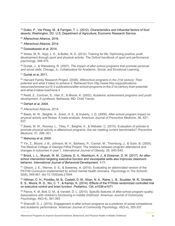<span id="page-44-0"></span><sup>35</sup> Dutko, P., Ver Ploeg, M., & Farrigan, T. L. (2012). *Characteristics and influential factors of food deserts*. Washington, DC: U.S. Department of Agriculture, Economic Research Service.

<span id="page-44-1"></span>36 Afterschool Alliance, 2016.

<span id="page-44-2"></span><sup>37</sup> Afterschool Alliance, 2014.

<span id="page-44-3"></span><sup>38</sup> Dzewaltowski et al, 2014.

<span id="page-44-4"></span><sup>39</sup> Weiss, M. R., Kipp, L. E., & Bolter, N. D. (2012). Training for life: Optimizing positive youth development through sport and physical activity. *The Oxford handbook of sport and performance psychology*, 448-475.

<span id="page-44-5"></span><sup>40</sup> Durlak, J., & Weissberg, R. (2007). *The impact of after-school programs that promote personal and social skills*. Chicago, IL: Collaborative for Academic, Social, and Emotional Learning.

#### <span id="page-44-6"></span> $41$  Durlak et al, 2011.

<span id="page-44-7"></span><sup>42</sup> Harvard Family Research Project. (2008). *Afterschool programs in the 21st century: Their potential and what it takes to achieve it*. Retrieved from http://www.hfrp.org/publicationsresources/browse-our-E-3 publications/after-school-programs-in-the-21st-century-their-potentialand-what-it-takes-toachieve-it

<span id="page-44-8"></span><sup>43</sup> Redd, Z., Cochran, S., Hair, E., & Moore, K. (2002). *Academic achievement programs and youth development: A synthesis*. Bethesda, MD: Child Trends.

#### <span id="page-44-9"></span><sup>44</sup> DeHart et al, 2004.

<span id="page-44-10"></span><sup>45</sup> Afterschool Alliance, 2014.

<span id="page-44-11"></span><sup>46</sup> Beets, M. W., Beighle, A., Erwin, H. E., & Huberty, J. D. (2009). After-school program impact on physical activity and fitness: A meta-analysis. *American Journal of Preventive Medicine*, 36, 527- 537.

<span id="page-44-12"></span><sup>47</sup> Beets, M. W., Rooney, L., Tilley, F., Beighle, A., & Webster, C. (2010). Evaluation of policies to promote physical activity in afterschool programs: Are we meeting current benchmarks? *Preventive Medicine*, 51, 299–301.

#### <span id="page-44-13"></span><sup>48</sup> Mahoney et al, 2005.

<span id="page-44-14"></span><sup>49</sup> Yin, Z., Moore, J. B., Johnson, M. H., Barbeau, P., Cavnar, M., Thornburg, J., & Gutin, B. (2005). The Medical College of Georgia FitKid Project: The relations between program attendance and changes in outcomes in year 1. *International Journal of Obesity*, 29, S40-S45.

<span id="page-44-15"></span><sup>50</sup> Brock, L. L., Murrah, W. M., Cottone, E. A., Mashburn, A. J., & Grissmer, D. W. (2017). An afterschool intervention targeting executive function and visuospatial skills also improves classroom behavior. *International Journal of Behavioral Development*, 1-11.

<span id="page-44-16"></span><sup>51</sup> Gibson, J. E., Werner, S. S., & Sweeney, A. (2015). Evaluating an abbreviated version of the PATHS Curriculum implemented by school mental health clinicians. *Psychology in The Schools*, 52(6), 549-561. doi:10.1002/pits.21844

<span id="page-44-17"></span><sup>52</sup> Hillman, C. H., Pontifex, M. B., Castelli, D. M., Khan, N. A., Raine, L. B., Scudder, M. R., Drolette, E. S., Moore, R. D., Wu, C. T., & Kamijo, K. (2014). Effects of the FITKids randomized controlled trial on executive control and brain function*. Pediatrics*, 134, e1036-e1071.

<span id="page-44-18"></span><sup>53</sup> Pierce, K. M, Bolt, D. M., & Vandell, D. L. (2010). Specific features of after-school program quality: Associations with children's functioning in middle childhood. *American Journal of Community Psychology*, 45(3-4), 381-393.

<span id="page-44-19"></span><sup>54</sup> Shernoff, D. J. (2010). Engagement in after-school programs as a predictor of social competence and academic performance. *American Journal of Community Psychology*, 45(3-4), 325-337.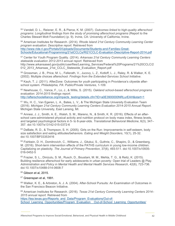<span id="page-45-0"></span><sup>55</sup> Vandell, D. L., Reisner, E. R., & Pierce, K. M. (2007). *Outcomes linked to high-quality afterschool programs: Longitudinal findings from the study of promising afterschool programs* (Report to the Charles Stewart Mott Foundation) (p. 9). Irvine, CA: University of California, Irvine.

<span id="page-45-1"></span><sup>56</sup> American Institutes for Research. (2014). *Rhode Island 21st Century Community Learning Center program evaluation: Descriptive report*. Retrieved from [http://www.ride.ri.gov/Portals/0/Uploads/Documents/Students-and-Families-Great-](http://www.ride.ri.gov/Portals/0/Uploads/Documents/Students-and-Families-Great-Schools/Educational-Programming/21stCCLCs/RI21CCLC-Evaluation-Descriptive-Report-2014.pdf)[Schools/Educational-Programming/21stCCLCs/RI21CCLC-Evaluation-Descriptive-Report-2014.pdf](http://www.ride.ri.gov/Portals/0/Uploads/Documents/Students-and-Families-Great-Schools/Educational-Programming/21stCCLCs/RI21CCLC-Evaluation-Descriptive-Report-2014.pdf)

<span id="page-45-2"></span><sup>57</sup> Center for Youth Program Quality. (2014). *Arkansas 21st Century Community Learning Centers statewide evaluation 2012-2013 annual report*. Retrieved from http://www.arkansased.gov/public/userfiles/Learning\_Services/Federal%20Programs/21%20CCLC/2 012 2013 Arkansas 21st CCLC Statewide Evaluation Report.pdf

<span id="page-45-3"></span><sup>58</sup> Grossman, J. B., Price, M. L., Fellerath, V., Jucovy, L. Z., Kotloff, L. J., Raley, R. & Walker, K. E. (2002). Multiple choices afterschool: *Findings from the Extended-Services School Initiative*.

<span id="page-45-4"></span><sup>59</sup> Kauh, T. J. (2011). AfterZone: Outcomes for youth participating in Providence's citywide afterschool system*. Philadelphia, PA: Public/Private Ventures*, 1-109.

<span id="page-45-5"></span><sup>60</sup> Newhouse, C., Vance, F., Lo, J., & Willis, S. (2015). *Oakland school-based afterschool programs evaluation: 2014-2015 findings report*.

[http://afterschoolalliance.org/impacts\\_testing/details.cfm?ID=a0E3900000NRLurEAH&start=1](http://afterschoolalliance.org/impacts_testing/details.cfm?ID=a0E3900000NRLurEAH&start=1)

<span id="page-45-6"></span><sup>61</sup> Wu, H. C., Van Egeren, L. A., Bates, L. V., & The Michigan State University Evaluation Team (2016). *Michigan 21st Century Community Learning Centers Evaluation 2014-2015 Annual Report*. Michigan State University, East Lansing, MI.

<span id="page-45-7"></span><sup>62</sup> Annesi, J. J., Smith, A. E., Walsh, S. M., Mareno, N., & Smith, K. R. (2016). Effects of an afterschool care-administered physical activity and nutrition protocol on body mass index, fitness levels, and targeted psychological factors in 5- to 8-year-olds. *Translational Behavioral Medicine*, 6(3), 347– 357. doi:10.1007/s13142-015-0372-6

<span id="page-45-8"></span><sup>63</sup> DeBate, R. D., & Thompson, S. H. (2005). Girls on the Run: Improvements in self-esteem, body size satisfaction and eating attitudes/behaviors. *Eating and Weight Disorders*, 10(1), 25-32. doi:10.1007/BF03353416

<span id="page-45-9"></span><sup>64</sup> Fishbein, D. H., Domitrovich, C., Williams, J., Gitukui, S., Guthrie, C., Shapiro, D., & Greenberg, M. (2016). Short-term intervention effects of the PATHS curriculum in young low-income children: Capitalizing on plasticity. *The Journal of Primary Prevention*, 37(6), 493-511. doi:10.1007/s10935- 016-0452-5

<span id="page-45-10"></span><sup>65</sup> Frazier, S. L., Dinizulu, S. M., Rusch, D., Boustani, M. M., Mehta, T. G., & Reitz, K. (2015). Building resilience afterschool for early adolescents in urban poverty: Open trial of Leaders @ Play. *Administration and Policy in Mental Health and Mental Health Services Research*, 42(6), 723-736. doi:10.1007/s10488-014-0608-7

<span id="page-45-11"></span><sup>66</sup> Gibson et al, 2015.

<span id="page-45-12"></span><sup>67</sup> Greenspan et al, 1991.

<span id="page-45-13"></span><sup>68</sup> Walker, K. E., & Arbreton, A. J. A. (2004). After-School Pursuits: An Examination of Outcomes in the San Francisco Beacon Initiative.

<span id="page-45-14"></span><sup>69</sup> American Institutes for Research. (2016). *Texas 21st Century Community Learning Centers 2014– 2015 annual report.* Retrieved from

[https://tea.texas.gov/Reports\\_and\\_Data/Program\\_Evaluations/Out-of-](https://tea.texas.gov/Reports_and_Data/Program_Evaluations/Out-of-School_Learning_Opportunities/Program_Evaluation__Out-of-School_Learning_Opportunities/)School Learning Opportunities/Program Evaluation Out-of-School Learning Opportunities/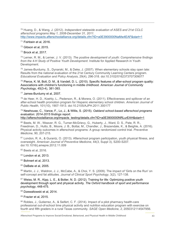<span id="page-46-0"></span><sup>70</sup> Huang, D., & Wang, J. (2012). *Independent statewide evaluation of ASES and 21st CCLC afterschool programs May 1, 2008-December 31, 2011*. <http://www.impacts.afterschoolalliance.org/details.cfm?ID=a0E3900000NaMw4EAF&start=1>

<span id="page-46-1"></span><sup>71</sup> Fishbein et al, 2016.

<span id="page-46-2"></span><sup>72</sup> Gibson et al, 2015.

<span id="page-46-3"></span><sup>73</sup> Brock et al, 2017.

<span id="page-46-4"></span><sup>74</sup> Lerner, R. M., & Lerner, J. V. (2013). *The positive development of youth: Comprehensive findings from the 4-H Study of Positive Youth Development*. Institute for Applied Research in Youth Development.

<span id="page-46-5"></span><sup>75</sup> James-Burdumy, S., Dynarski, M., & Deke, J. (2007). When elementary schools stay open late: Results from the national evaluation of the 21st Century Community Learning Centers program. *Educational Evaluation and Policy Analysis*, 29(4), 296-318. doi:10.3102/0162373707309077

<span id="page-46-6"></span> $^{76}$  Pierce, K. M, Bolt, D. M., & Vandell, D. L. (2010). Specific features of after-school program quality: Associations with children's functioning in middle childhood. *American Journal of Community Psychology*, 45(3-4), 381-393.

<span id="page-46-7"></span><sup>77</sup> James-Burdumy et al, 2007.

<span id="page-46-8"></span><sup>78</sup> de Heer, H. D., Koehly, L., Pederson, R., & Morera, O. (2011). Effectiveness and spillover of an after-school health promotion program for Hispanic elementary school children. *American Journal of Public Health*, 101(10), 1907-1913. doi:10.2105/AJPH.2011.300177

<span id="page-46-9"></span><sup>79</sup> Newhouse, C., Vance, F., Lo, J., & Willis, S. (2015). *Oakland school-based afterschool programs evaluation: 2014-2015 findings report*.

http://afterschoolalliance.org/impacts\_testing/details.cfm?ID=a0E3900000NRLurEAH&start=1

<span id="page-46-10"></span>80 Beets, M. W., Weaver, R. G., Turner-McGrievy, G., Huberty, J., Ward, D. S., Pate, R. R., Freedman, D., Hutto, B., Moore, J. B., Bottai, M., Chandler, J., Brazendale, K., & Beighle, A. (2016). Physical activity outcomes in afterschool programs: A group randomized control trial. *Preventive Medicine*, 90, 207-215.

<span id="page-46-11"></span><sup>81</sup> London, R. A., & Gurantz, O. (2013). Afterschool program participation, youth physical fitness, and overweight. *American Journal of Preventive Medicine*, 44(3, Suppl 3), S200-S207. doi:10.1016/j.amepre.2012.11.009

<span id="page-46-12"></span><sup>82</sup> Beets et al, 2016.

<span id="page-46-13"></span>83 London et al, 2013.

<span id="page-46-14"></span>84 Bohnert et al. 2013.

<span id="page-46-15"></span> $85$  DeBate et al, 2005.

<span id="page-46-16"></span>86 Martin, J. J., Waldron, J. J., McCabe, A., & Choi, Y. S. (2009). The impact of 'Girls on the Run' on self-concept and fat attitudes. *Journal of Clinical Sport Psychology*, 3(2), 127-138.

<span id="page-46-17"></span>87 Weiss, M. R., Kipp, L. E., & Bolter, N. D. (2012). Training for life: Optimizing positive youth development through sport and physical activity. *The Oxford handbook of sport and performance psychology*, 448-475.

<span id="page-46-18"></span>88 Dzewaltowski et al, 2014.

<span id="page-46-19"></span> $89$  Frazier et al, 2015.

<span id="page-46-20"></span>90 Robles, J., Gutierrez, A., & Seifert, C. F. (2014). Impact of a pilot pharmacy health-care professional out-of-school time physical activity and nutrition education program with exercise on fourth and fifth graders in a rural Texas community. *SAGE Open Medicine*, *2*, 2050312114547956.